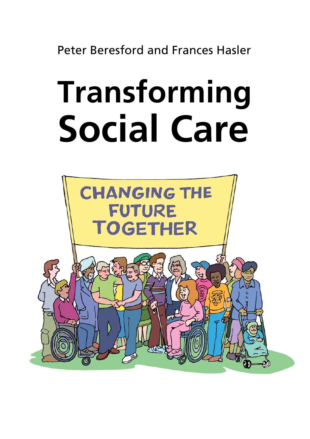Peter Beresford and Frances Hasler

# **Transforming Social Care**

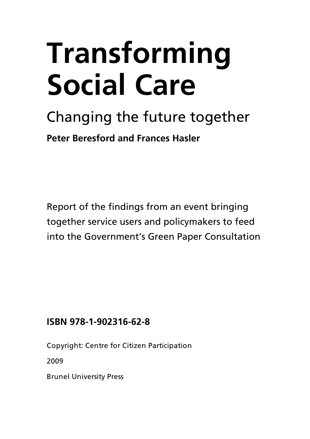# **Transforming Social Care**

## Changing the future together

**Peter Beresford and Frances Hasler**

Report of the findings from an event bringing together service users and policymakers to feed into the Government's Green Paper Consultation

## **ISBN 978-1-902316-62-8**

Copyright: Centre for Citizen Participation

2009

Brunel University Press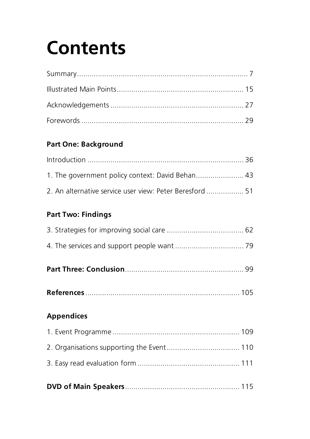# **Contents**

## **Part One: Background**

| 2. An alternative service user view: Peter Beresford  51 |  |
|----------------------------------------------------------|--|

## **Part Two: Findings**

| <b>Appendices</b> |  |
|-------------------|--|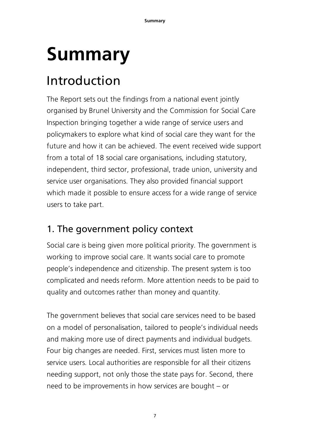# **Summary**

## Introduction

The Report sets out the findings from a national event jointly organised by Brunel University and the Commission for Social Care Inspection bringing together a wide range of service users and policymakers to explore what kind of social care they want for the future and how it can be achieved. The event received wide support from a total of 18 social care organisations, including statutory, independent, third sector, professional, trade union, university and service user organisations. They also provided financial support which made it possible to ensure access for a wide range of service users to take part.

## 1. The government policy context

Social care is being given more political priority. The government is working to improve social care. It wants social care to promote people's independence and citizenship. The present system is too complicated and needs reform. More attention needs to be paid to quality and outcomes rather than money and quantity.

The government believes that social care services need to be based on a model of personalisation, tailored to people's individual needs and making more use of direct payments and individual budgets. Four big changes are needed. First, services must listen more to service users. Local authorities are responsible for all their citizens needing support, not only those the state pays for. Second, there need to be improvements in how services are bought – or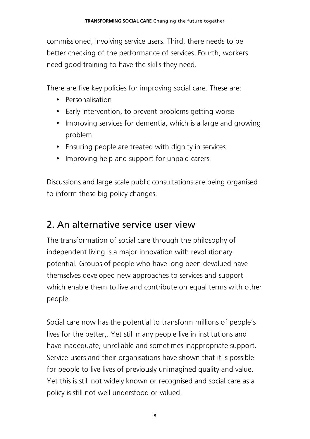commissioned, involving service users. Third, there needs to be better checking of the performance of services. Fourth, workers need good training to have the skills they need.

There are five key policies for improving social care. These are:

- Personalisation
- Early intervention, to prevent problems getting worse
- Improving services for dementia, which is a large and growing problem
- Ensuring people are treated with dignity in services
- Improving help and support for unpaid carers

Discussions and large scale public consultations are being organised to inform these big policy changes.

## 2. An alternative service user view

The transformation of social care through the philosophy of independent living is a major innovation with revolutionary potential. Groups of people who have long been devalued have themselves developed new approaches to services and support which enable them to live and contribute on equal terms with other people.

Social care now has the potential to transform millions of people's lives for the better,. Yet still many people live in institutions and have inadequate, unreliable and sometimes inappropriate support. Service users and their organisations have shown that it is possible for people to live lives of previously unimagined quality and value. Yet this is still not widely known or recognised and social care as a policy is still not well understood or valued.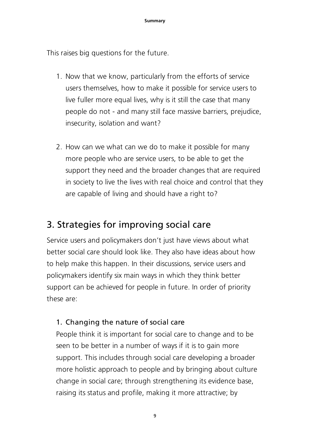This raises big questions for the future.

- 1. Now that we know, particularly from the efforts of service users themselves, how to make it possible for service users to live fuller more equal lives, why is it still the case that many people do not - and many still face massive barriers, prejudice, insecurity, isolation and want?
- 2. How can we what can we do to make it possible for many more people who are service users, to be able to get the support they need and the broader changes that are required in society to live the lives with real choice and control that they are capable of living and should have a right to?

## 3. Strategies for improving social care

Service users and policymakers don't just have views about what better social care should look like. They also have ideas about how to help make this happen. In their discussions, service users and policymakers identify six main ways in which they think better support can be achieved for people in future. In order of priority these are:

### 1. Changing the nature of social care

People think it is important for social care to change and to be seen to be better in a number of ways if it is to gain more support. This includes through social care developing a broader more holistic approach to people and by bringing about culture change in social care; through strengthening its evidence base, raising its status and profile, making it more attractive; by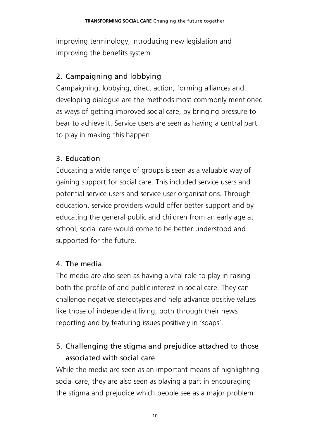improving terminology, introducing new legislation and improving the benefits system.

## 2. Campaigning and lobbying

Campaigning, lobbying, direct action, forming alliances and developing dialogue are the methods most commonly mentioned as ways of getting improved social care, by bringing pressure to bear to achieve it. Service users are seen as having a central part to play in making this happen.

### 3. Education

Educating a wide range of groups is seen as a valuable way of gaining support for social care. This included service users and potential service users and service user organisations. Through education, service providers would offer better support and by educating the general public and children from an early age at school, social care would come to be better understood and supported for the future.

#### 4. The media

The media are also seen as having a vital role to play in raising both the profile of and public interest in social care. They can challenge negative stereotypes and help advance positive values like those of independent living, both through their news reporting and by featuring issues positively in 'soaps'.

## 5. Challenging the stigma and prejudice attached to those associated with social care

While the media are seen as an important means of highlighting social care, they are also seen as playing a part in encouraging the stigma and prejudice which people see as a major problem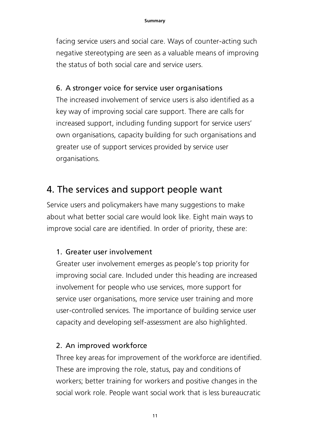facing service users and social care. Ways of counter-acting such negative stereotyping are seen as a valuable means of improving the status of both social care and service users.

#### 6. A stronger voice for service user organisations

The increased involvement of service users is also identified as a key way of improving social care support. There are calls for increased support, including funding support for service users' own organisations, capacity building for such organisations and greater use of support services provided by service user organisations.

## 4. The services and support people want

Service users and policymakers have many suggestions to make about what better social care would look like. Eight main ways to improve social care are identified. In order of priority, these are:

#### 1. Greater user involvement

Greater user involvement emerges as people's top priority for improving social care. Included under this heading are increased involvement for people who use services, more support for service user organisations, more service user training and more user-controlled services. The importance of building service user capacity and developing self-assessment are also highlighted.

#### 2. An improved workforce

Three key areas for improvement of the workforce are identified. These are improving the role, status, pay and conditions of workers; better training for workers and positive changes in the social work role. People want social work that is less bureaucratic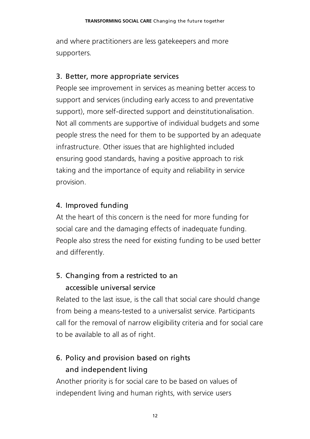and where practitioners are less gatekeepers and more supporters.

#### 3. Better, more appropriate services

People see improvement in services as meaning better access to support and services (including early access to and preventative support), more self-directed support and deinstitutionalisation. Not all comments are supportive of individual budgets and some people stress the need for them to be supported by an adequate infrastructure. Other issues that are highlighted included ensuring good standards, having a positive approach to risk taking and the importance of equity and reliability in service provision.

### 4. Improved funding

At the heart of this concern is the need for more funding for social care and the damaging effects of inadequate funding. People also stress the need for existing funding to be used better and differently.

## 5. Changing from a restricted to an accessible universal service

Related to the last issue, is the call that social care should change from being a means-tested to a universalist service. Participants call for the removal of narrow eligibility criteria and for social care to be available to all as of right.

## 6. Policy and provision based on rights and independent living

Another priority is for social care to be based on values of independent living and human rights, with service users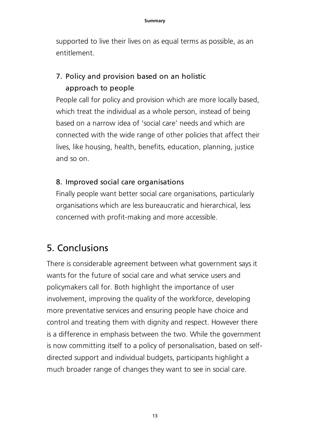supported to live their lives on as equal terms as possible, as an entitlement.

## 7. Policy and provision based on an holistic approach to people

People call for policy and provision which are more locally based, which treat the individual as a whole person, instead of being based on a narrow idea of 'social care' needs and which are connected with the wide range of other policies that affect their lives, like housing, health, benefits, education, planning, justice and so on.

#### 8. Improved social care organisations

Finally people want better social care organisations, particularly organisations which are less bureaucratic and hierarchical, less concerned with profit-making and more accessible.

## 5. Conclusions

There is considerable agreement between what government says it wants for the future of social care and what service users and policymakers call for. Both highlight the importance of user involvement, improving the quality of the workforce, developing more preventative services and ensuring people have choice and control and treating them with dignity and respect. However there is a difference in emphasis between the two. While the government is now committing itself to a policy of personalisation, based on selfdirected support and individual budgets, participants highlight a much broader range of changes they want to see in social care.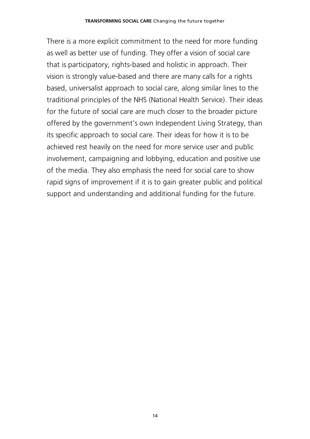There is a more explicit commitment to the need for more funding as well as better use of funding. They offer a vision of social care that is participatory, rights-based and holistic in approach. Their vision is strongly value-based and there are many calls for a rights based, universalist approach to social care, along similar lines to the traditional principles of the NHS (National Health Service). Their ideas for the future of social care are much closer to the broader picture offered by the government's own Independent Living Strategy, than its specific approach to social care. Their ideas for how it is to be achieved rest heavily on the need for more service user and public involvement, campaigning and lobbying, education and positive use of the media. They also emphasis the need for social care to show rapid signs of improvement if it is to gain greater public and political support and understanding and additional funding for the future.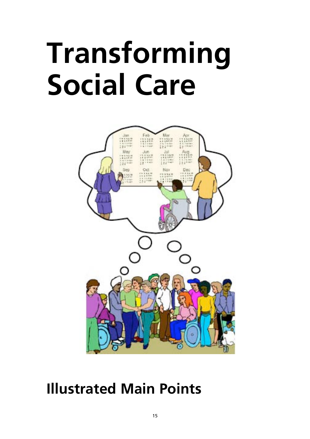# **Transforming Social Care**



## **Illustrated Main Points**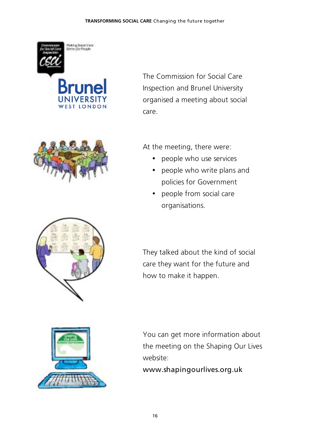



The Commission for Social Care Inspection and Brunel University organised a meeting about social care.

At the meeting, there were:

- people who use services
- people who write plans and policies for Government
- people from social care organisations.

They talked about the kind of social care they want for the future and how to make it happen.



You can get more information about the meeting on the Shaping Our Lives website:

www.shapingourlives.org.uk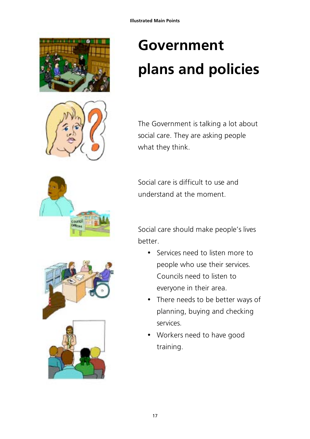

## **Government plans and policies**

The Government is talking a lot about social care. They are asking people what they think.

Social care is difficult to use and understand at the moment.

Social care should make people's lives better.

- Services need to listen more to people who use their services. Councils need to listen to everyone in their area.
- There needs to be better ways of planning, buying and checking services.
- Workers need to have good training.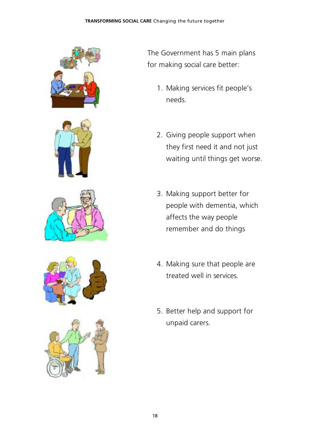









The Government has 5 main plans for making social care better:

- 1. Making services fit people's needs.
- 2. Giving people support when they first need it and not just waiting until things get worse.
- 3. Making support better for people with dementia, which affects the way people remember and do things
- 4. Making sure that people are treated well in services.
- 5. Better help and support for unpaid carers.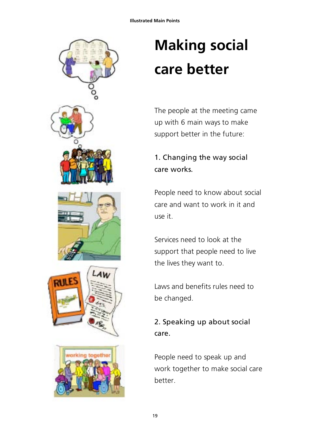

## **Making social care better**

The people at the meeting came up with 6 main ways to make support better in the future:

## 1. Changing the way social care works.

People need to know about social care and want to work in it and use it.

Services need to look at the support that people need to live the lives they want to.

Laws and benefits rules need to be changed.

2. Speaking up about social care.

People need to speak up and work together to make social care better.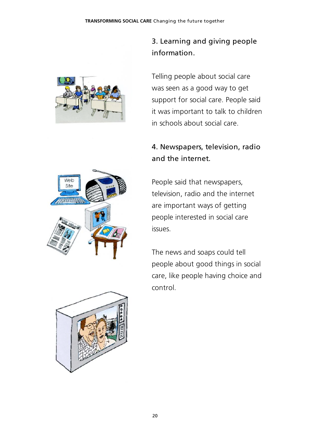

## 3. Learning and giving people information.

Telling people about social care was seen as a good way to get support for social care. People said it was important to talk to children in schools about social care.

## 4. Newspapers, television, radio and the internet.

People said that newspapers, television, radio and the internet are important ways of getting people interested in social care issues.

The news and soaps could tell people about good things in social care, like people having choice and control.



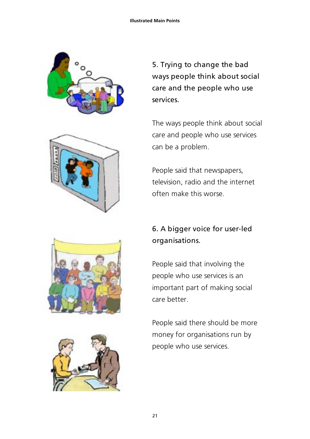

5. Trying to change the bad ways people think about social care and the people who use services.

The ways people think about social care and people who use services can be a problem.

People said that newspapers, television, radio and the internet often make this worse.

## 6. A bigger voice for user-led organisations.

People said that involving the people who use services is an important part of making social care better.

People said there should be more money for organisations run by people who use services.





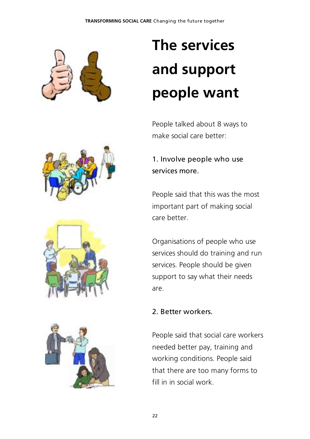

# **The services and support people want**

People talked about 8 ways to make social care better:

## 1. Involve people who use services more.

People said that this was the most important part of making social care better.

Organisations of people who use services should do training and run services. People should be given support to say what their needs are.

### 2. Better workers

People said that social care workers needed better pay, training and working conditions. People said that there are too many forms to fill in in social work.





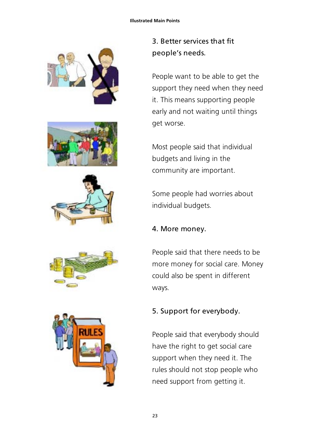



People want to be able to get the support they need when they need it. This means supporting people early and not waiting until things get worse.

Most people said that individual budgets and living in the community are important.

Some people had worries about individual budgets.

#### 4. More money.

People said that there needs to be more money for social care. Money could also be spent in different ways.

## 5. Support for everybody.

People said that everybody should have the right to get social care support when they need it. The rules should not stop people who need support from getting it.

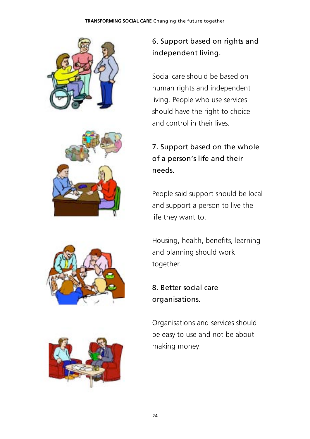



## 6. Support based on rights and independent living.

Social care should be based on human rights and independent living. People who use services should have the right to choice and control in their lives.

## 7. Support based on the whole of a person's life and their needs.

People said support should be local and support a person to live the life they want to.



## 8. Better social care organisations.

Organisations and services should be easy to use and not be about making money.



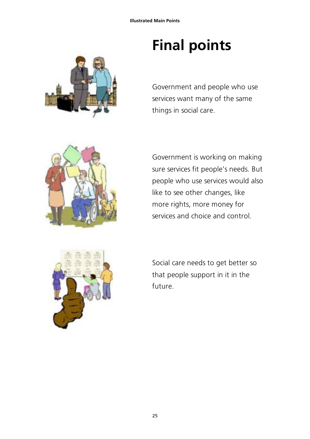

## **Final points**

Government and people who use services want many of the same things in social care.



Government is working on making sure services fit people's needs. But people who use services would also like to see other changes, like more rights, more money for services and choice and control.



Social care needs to get better so that people support in it in the future.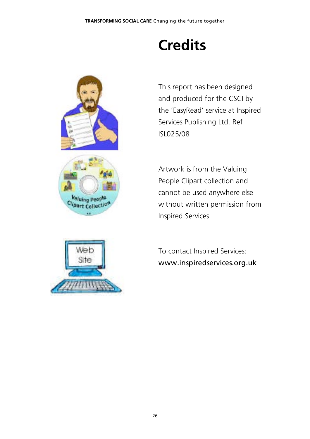## **Credits**

This report has been designed and produced for the CSCI by the 'EasyRead' service at Inspired Services Publishing Ltd. Ref ISL025/08

Artwork is from the Valuing People Clipart collection and cannot be used anywhere else without written permission from Inspired Services.

To contact Inspired Services: www.inspiredservices.org.uk



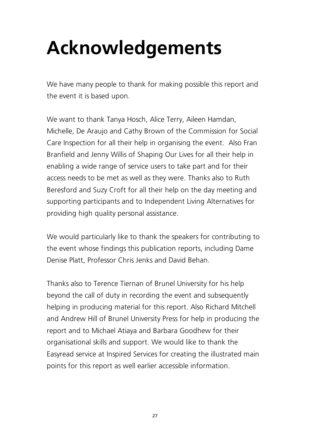# **Acknowledgements**

We have many people to thank for making possible this report and the event it is based upon.

We want to thank Tanya Hosch, Alice Terry, Aileen Hamdan, Michelle, De Araujo and Cathy Brown of the Commission for Social Care Inspection for all their help in organising the event. Also Fran Branfield and Jenny Willis of Shaping Our Lives for all their help in enabling a wide range of service users to take part and for their access needs to be met as well as they were. Thanks also to Ruth Beresford and Suzy Croft for all their help on the day meeting and supporting participants and to Independent Living Alternatives for providing high quality personal assistance.

We would particularly like to thank the speakers for contributing to the event whose findings this publication reports, including Dame Denise Platt, Professor Chris Jenks and David Behan.

Thanks also to Terence Tiernan of Brunel University for his help beyond the call of duty in recording the event and subsequently helping in producing material for this report. Also Richard Mitchell and Andrew Hill of Brunel University Press for help in producing the report and to Michael Atiaya and Barbara Goodhew for their organisational skills and support. We would like to thank the Easyread service at Inspired Services for creating the illustrated main points for this report as well earlier accessible information.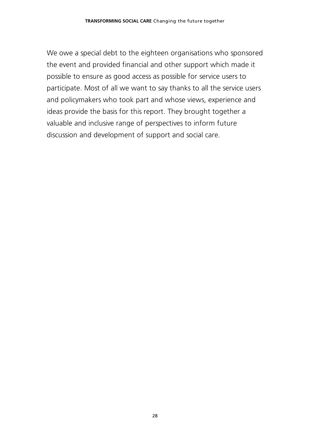We owe a special debt to the eighteen organisations who sponsored the event and provided financial and other support which made it possible to ensure as good access as possible for service users to participate. Most of all we want to say thanks to all the service users and policymakers who took part and whose views, experience and ideas provide the basis for this report. They brought together a valuable and inclusive range of perspectives to inform future discussion and development of support and social care.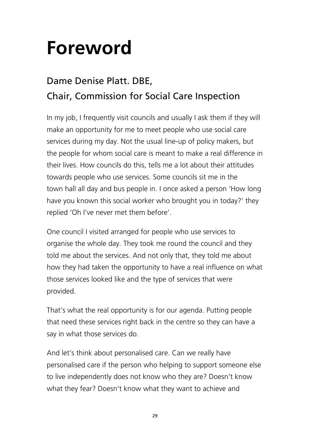# **Foreword**

## Dame Denise Platt. DBE, Chair, Commission for Social Care Inspection

In my job, I frequently visit councils and usually I ask them if they will make an opportunity for me to meet people who use social care services during my day. Not the usual line-up of policy makers, but the people for whom social care is meant to make a real difference in their lives. How councils do this, tells me a lot about their attitudes towards people who use services. Some councils sit me in the town hall all day and bus people in. I once asked a person 'How long have you known this social worker who brought you in today?' they replied 'Oh I've never met them before'.

One council I visited arranged for people who use services to organise the whole day. They took me round the council and they told me about the services. And not only that, they told me about how they had taken the opportunity to have a real influence on what those services looked like and the type of services that were provided.

That's what the real opportunity is for our agenda. Putting people that need these services right back in the centre so they can have a say in what those services do.

And let's think about personalised care. Can we really have personalised care if the person who helping to support someone else to live independently does not know who they are? Doesn't know what they fear? Doesn't know what they want to achieve and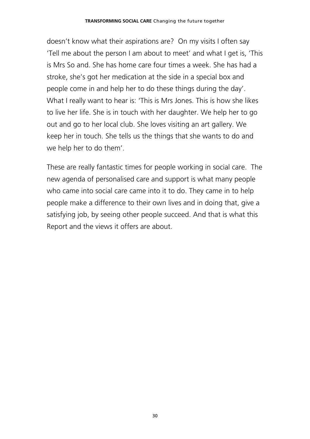doesn't know what their aspirations are? On my visits I often say 'Tell me about the person I am about to meet' and what I get is, 'This is Mrs So and. She has home care four times a week. She has had a stroke, she's got her medication at the side in a special box and people come in and help her to do these things during the day'. What I really want to hear is: 'This is Mrs Jones. This is how she likes to live her life. She is in touch with her daughter. We help her to go out and go to her local club. She loves visiting an art gallery. We keep her in touch. She tells us the things that she wants to do and we help her to do them'.

These are really fantastic times for people working in social care. The new agenda of personalised care and support is what many people who came into social care came into it to do. They came in to help people make a difference to their own lives and in doing that, give a satisfying job, by seeing other people succeed. And that is what this Report and the views it offers are about.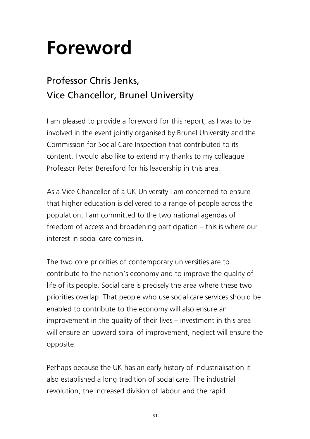## **Foreword**

## Professor Chris Jenks, Vice Chancellor, Brunel University

I am pleased to provide a foreword for this report, as I was to be involved in the event jointly organised by Brunel University and the Commission for Social Care Inspection that contributed to its content. I would also like to extend my thanks to my colleague Professor Peter Beresford for his leadership in this area.

As a Vice Chancellor of a UK University I am concerned to ensure that higher education is delivered to a range of people across the population; I am committed to the two national agendas of freedom of access and broadening participation – this is where our interest in social care comes in.

The two core priorities of contemporary universities are to contribute to the nation's economy and to improve the quality of life of its people. Social care is precisely the area where these two priorities overlap. That people who use social care services should be enabled to contribute to the economy will also ensure an improvement in the quality of their lives – investment in this area will ensure an upward spiral of improvement, neglect will ensure the opposite.

Perhaps because the UK has an early history of industrialisation it also established a long tradition of social care. The industrial revolution, the increased division of labour and the rapid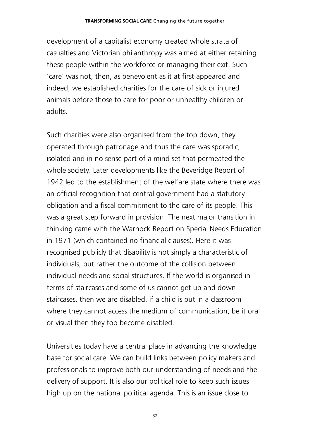development of a capitalist economy created whole strata of casualties and Victorian philanthropy was aimed at either retaining these people within the workforce or managing their exit. Such 'care' was not, then, as benevolent as it at first appeared and indeed, we established charities for the care of sick or injured animals before those to care for poor or unhealthy children or adults.

Such charities were also organised from the top down, they operated through patronage and thus the care was sporadic, isolated and in no sense part of a mind set that permeated the whole society. Later developments like the Beveridge Report of 1942 led to the establishment of the welfare state where there was an official recognition that central government had a statutory obligation and a fiscal commitment to the care of its people. This was a great step forward in provision. The next major transition in thinking came with the Warnock Report on Special Needs Education in 1971 (which contained no financial clauses). Here it was recognised publicly that disability is not simply a characteristic of individuals, but rather the outcome of the collision between individual needs and social structures. If the world is organised in terms of staircases and some of us cannot get up and down staircases, then we are disabled, if a child is put in a classroom where they cannot access the medium of communication, be it oral or visual then they too become disabled.

Universities today have a central place in advancing the knowledge base for social care. We can build links between policy makers and professionals to improve both our understanding of needs and the delivery of support. It is also our political role to keep such issues high up on the national political agenda. This is an issue close to

32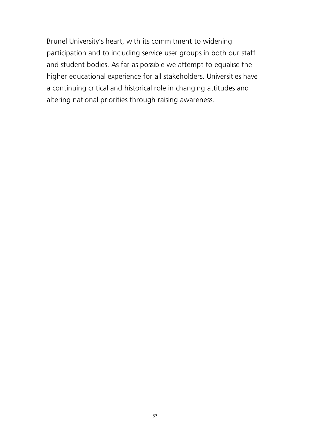Brunel University's heart, with its commitment to widening participation and to including service user groups in both our staff and student bodies. As far as possible we attempt to equalise the higher educational experience for all stakeholders. Universities have a continuing critical and historical role in changing attitudes and altering national priorities through raising awareness.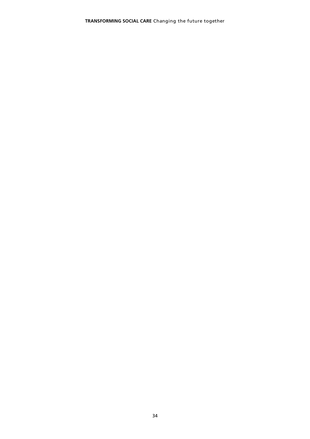**TRANSFORMING SOCIAL CARE** Changing the future together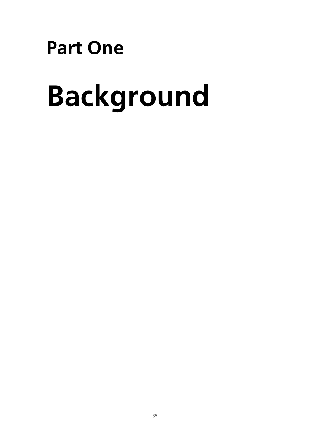# **Part One Background**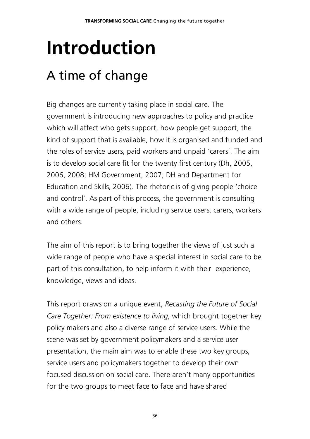# **Introduction**

## A time of change

Big changes are currently taking place in social care. The government is introducing new approaches to policy and practice which will affect who gets support, how people get support, the kind of support that is available, how it is organised and funded and the roles of service users, paid workers and unpaid 'carers'. The aim is to develop social care fit for the twenty first century (Dh, 2005, 2006, 2008; HM Government, 2007; DH and Department for Education and Skills, 2006). The rhetoric is of giving people 'choice and control'. As part of this process, the government is consulting with a wide range of people, including service users, carers, workers and others.

The aim of this report is to bring together the views of just such a wide range of people who have a special interest in social care to be part of this consultation, to help inform it with their experience, knowledge, views and ideas.

This report draws on a unique event, *Recasting the Future of Social Care Together: From existence to living*, which brought together key policy makers and also a diverse range of service users. While the scene was set by government policymakers and a service user presentation, the main aim was to enable these two key groups, service users and policymakers together to develop their own focused discussion on social care. There aren't many opportunities for the two groups to meet face to face and have shared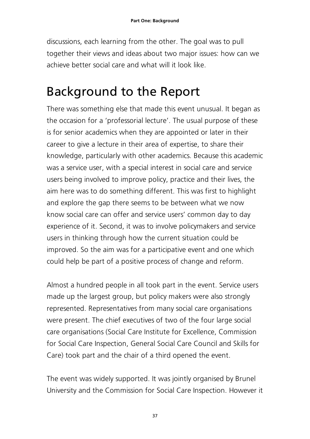discussions, each learning from the other. The goal was to pull together their views and ideas about two major issues: how can we achieve better social care and what will it look like.

### Background to the Report

There was something else that made this event unusual. It began as the occasion for a 'professorial lecture'. The usual purpose of these is for senior academics when they are appointed or later in their career to give a lecture in their area of expertise, to share their knowledge, particularly with other academics. Because this academic was a service user, with a special interest in social care and service users being involved to improve policy, practice and their lives, the aim here was to do something different. This was first to highlight and explore the gap there seems to be between what we now know social care can offer and service users' common day to day experience of it. Second, it was to involve policymakers and service users in thinking through how the current situation could be improved. So the aim was for a participative event and one which could help be part of a positive process of change and reform.

Almost a hundred people in all took part in the event. Service users made up the largest group, but policy makers were also strongly represented. Representatives from many social care organisations were present. The chief executives of two of the four large social care organisations (Social Care Institute for Excellence, Commission for Social Care Inspection, General Social Care Council and Skills for Care) took part and the chair of a third opened the event.

The event was widely supported. It was jointly organised by Brunel University and the Commission for Social Care Inspection. However it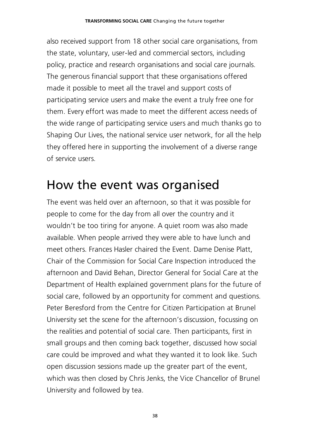also received support from 18 other social care organisations, from the state, voluntary, user-led and commercial sectors, including policy, practice and research organisations and social care journals. The generous financial support that these organisations offered made it possible to meet all the travel and support costs of participating service users and make the event a truly free one for them. Every effort was made to meet the different access needs of the wide range of participating service users and much thanks go to Shaping Our Lives, the national service user network, for all the help they offered here in supporting the involvement of a diverse range of service users.

### How the event was organised

The event was held over an afternoon, so that it was possible for people to come for the day from all over the country and it wouldn't be too tiring for anyone. A quiet room was also made available. When people arrived they were able to have lunch and meet others. Frances Hasler chaired the Event. Dame Denise Platt, Chair of the Commission for Social Care Inspection introduced the afternoon and David Behan, Director General for Social Care at the Department of Health explained government plans for the future of social care, followed by an opportunity for comment and questions. Peter Beresford from the Centre for Citizen Participation at Brunel University set the scene for the afternoon's discussion, focussing on the realities and potential of social care. Then participants, first in small groups and then coming back together, discussed how social care could be improved and what they wanted it to look like. Such open discussion sessions made up the greater part of the event, which was then closed by Chris Jenks, the Vice Chancellor of Brunel University and followed by tea.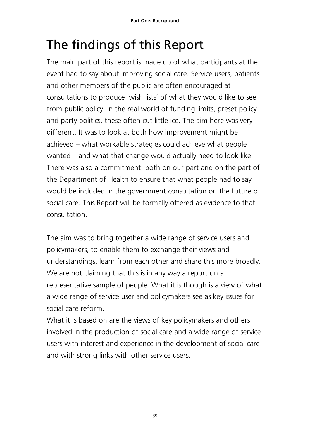## The findings of this Report

The main part of this report is made up of what participants at the event had to say about improving social care. Service users, patients and other members of the public are often encouraged at consultations to produce 'wish lists' of what they would like to see from public policy. In the real world of funding limits, preset policy and party politics, these often cut little ice. The aim here was very different. It was to look at both how improvement might be achieved – what workable strategies could achieve what people wanted – and what that change would actually need to look like. There was also a commitment, both on our part and on the part of the Department of Health to ensure that what people had to say would be included in the government consultation on the future of social care. This Report will be formally offered as evidence to that consultation.

The aim was to bring together a wide range of service users and policymakers, to enable them to exchange their views and understandings, learn from each other and share this more broadly. We are not claiming that this is in any way a report on a representative sample of people. What it is though is a view of what a wide range of service user and policymakers see as key issues for social care reform.

What it is based on are the views of key policymakers and others involved in the production of social care and a wide range of service users with interest and experience in the development of social care and with strong links with other service users.

39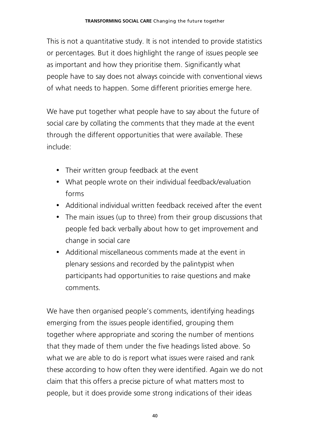This is not a quantitative study. It is not intended to provide statistics or percentages. But it does highlight the range of issues people see as important and how they prioritise them. Significantly what people have to say does not always coincide with conventional views of what needs to happen. Some different priorities emerge here.

We have put together what people have to say about the future of social care by collating the comments that they made at the event through the different opportunities that were available. These include:

- Their written group feedback at the event
- What people wrote on their individual feedback/evaluation forms
- Additional individual written feedback received after the event
- The main issues (up to three) from their group discussions that people fed back verbally about how to get improvement and change in social care
- Additional miscellaneous comments made at the event in plenary sessions and recorded by the palintypist when participants had opportunities to raise questions and make comments.

We have then organised people's comments, identifying headings emerging from the issues people identified, grouping them together where appropriate and scoring the number of mentions that they made of them under the five headings listed above. So what we are able to do is report what issues were raised and rank these according to how often they were identified. Again we do not claim that this offers a precise picture of what matters most to people, but it does provide some strong indications of their ideas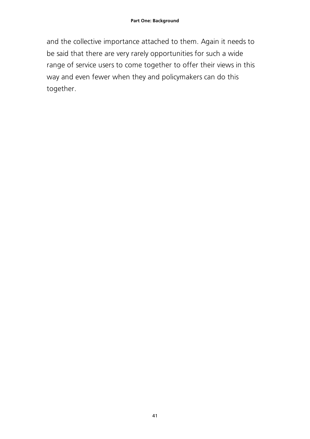and the collective importance attached to them. Again it needs to be said that there are very rarely opportunities for such a wide range of service users to come together to offer their views in this way and even fewer when they and policymakers can do this together.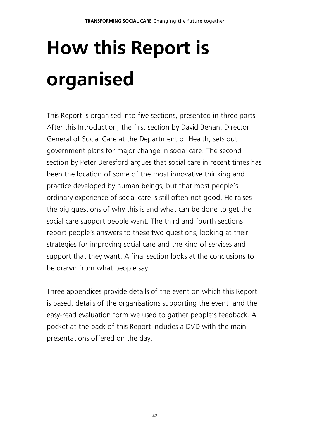## **How this Report is organised**

This Report is organised into five sections, presented in three parts. After this Introduction, the first section by David Behan, Director General of Social Care at the Department of Health, sets out government plans for major change in social care. The second section by Peter Beresford argues that social care in recent times has been the location of some of the most innovative thinking and practice developed by human beings, but that most people's ordinary experience of social care is still often not good. He raises the big questions of why this is and what can be done to get the social care support people want. The third and fourth sections report people's answers to these two questions, looking at their strategies for improving social care and the kind of services and support that they want. A final section looks at the conclusions to be drawn from what people say.

Three appendices provide details of the event on which this Report is based, details of the organisations supporting the event and the easy-read evaluation form we used to gather people's feedback. A pocket at the back of this Report includes a DVD with the main presentations offered on the day.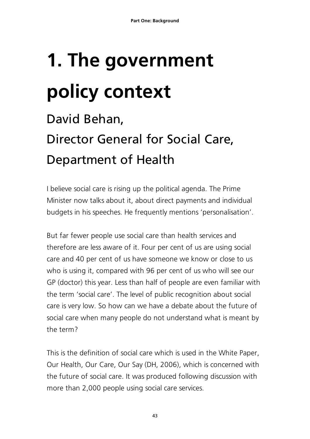## **1. The government policy context** David Behan, Director General for Social Care, Department of Health

I believe social care is rising up the political agenda. The Prime Minister now talks about it, about direct payments and individual budgets in his speeches. He frequently mentions 'personalisation'.

But far fewer people use social care than health services and therefore are less aware of it. Four per cent of us are using social care and 40 per cent of us have someone we know or close to us who is using it, compared with 96 per cent of us who will see our GP (doctor) this year. Less than half of people are even familiar with the term 'social care'. The level of public recognition about social care is very low. So how can we have a debate about the future of social care when many people do not understand what is meant by the term?

This is the definition of social care which is used in the White Paper, Our Health, Our Care, Our Say (DH, 2006), which is concerned with the future of social care. It was produced following discussion with more than 2,000 people using social care services.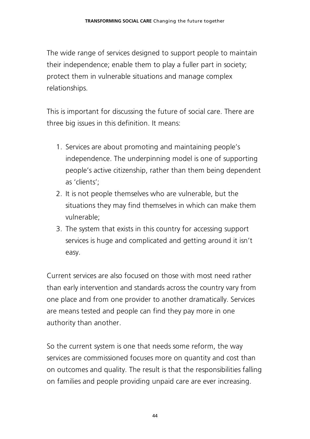The wide range of services designed to support people to maintain their independence; enable them to play a fuller part in society; protect them in vulnerable situations and manage complex relationships.

This is important for discussing the future of social care. There are three big issues in this definition. It means:

- 1. Services are about promoting and maintaining people's independence. The underpinning model is one of supporting people's active citizenship, rather than them being dependent as 'clients';
- 2. It is not people themselves who are vulnerable, but the situations they may find themselves in which can make them vulnerable;
- 3. The system that exists in this country for accessing support services is huge and complicated and getting around it isn't easy.

Current services are also focused on those with most need rather than early intervention and standards across the country vary from one place and from one provider to another dramatically. Services are means tested and people can find they pay more in one authority than another.

So the current system is one that needs some reform, the way services are commissioned focuses more on quantity and cost than on outcomes and quality. The result is that the responsibilities falling on families and people providing unpaid care are ever increasing.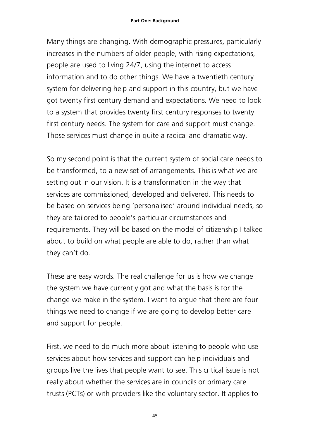Many things are changing. With demographic pressures, particularly increases in the numbers of older people, with rising expectations, people are used to living 24/7, using the internet to access information and to do other things. We have a twentieth century system for delivering help and support in this country, but we have got twenty first century demand and expectations. We need to look to a system that provides twenty first century responses to twenty first century needs. The system for care and support must change. Those services must change in quite a radical and dramatic way.

So my second point is that the current system of social care needs to be transformed, to a new set of arrangements. This is what we are setting out in our vision. It is a transformation in the way that services are commissioned, developed and delivered. This needs to be based on services being 'personalised' around individual needs, so they are tailored to people's particular circumstances and requirements. They will be based on the model of citizenship I talked about to build on what people are able to do, rather than what they can't do.

These are easy words. The real challenge for us is how we change the system we have currently got and what the basis is for the change we make in the system. I want to argue that there are four things we need to change if we are going to develop better care and support for people.

First, we need to do much more about listening to people who use services about how services and support can help individuals and groups live the lives that people want to see. This critical issue is not really about whether the services are in councils or primary care trusts (PCTs) or with providers like the voluntary sector. It applies to

45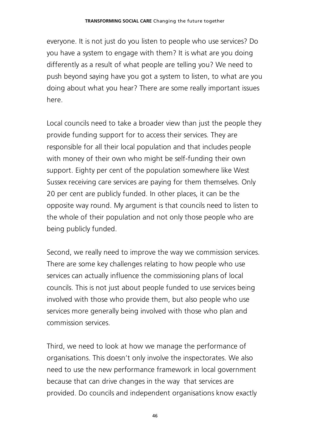everyone. It is not just do you listen to people who use services? Do you have a system to engage with them? It is what are you doing differently as a result of what people are telling you? We need to push beyond saying have you got a system to listen, to what are you doing about what you hear? There are some really important issues here.

Local councils need to take a broader view than just the people they provide funding support for to access their services. They are responsible for all their local population and that includes people with money of their own who might be self-funding their own support. Eighty per cent of the population somewhere like West Sussex receiving care services are paying for them themselves. Only 20 per cent are publicly funded. In other places, it can be the opposite way round. My argument is that councils need to listen to the whole of their population and not only those people who are being publicly funded.

Second, we really need to improve the way we commission services. There are some key challenges relating to how people who use services can actually influence the commissioning plans of local councils. This is not just about people funded to use services being involved with those who provide them, but also people who use services more generally being involved with those who plan and commission services.

Third, we need to look at how we manage the performance of organisations. This doesn't only involve the inspectorates. We also need to use the new performance framework in local government because that can drive changes in the way that services are provided. Do councils and independent organisations know exactly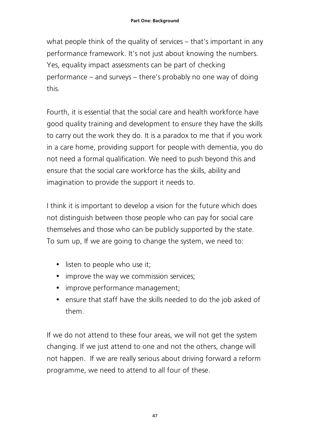what people think of the quality of services – that's important in any performance framework. It's not just about knowing the numbers. Yes, equality impact assessments can be part of checking performance – and surveys – there's probably no one way of doing this.

Fourth, it is essential that the social care and health workforce have good quality training and development to ensure they have the skills to carry out the work they do. It is a paradox to me that if you work in a care home, providing support for people with dementia, you do not need a formal qualification. We need to push beyond this and ensure that the social care workforce has the skills, ability and imagination to provide the support it needs to.

I think it is important to develop a vision for the future which does not distinguish between those people who can pay for social care themselves and those who can be publicly supported by the state. To sum up, If we are going to change the system, we need to:

- listen to people who use it;
- improve the way we commission services;
- improve performance management:
- ensure that staff have the skills needed to do the job asked of them.

If we do not attend to these four areas, we will not get the system changing. If we just attend to one and not the others, change will not happen. If we are really serious about driving forward a reform programme, we need to attend to all four of these.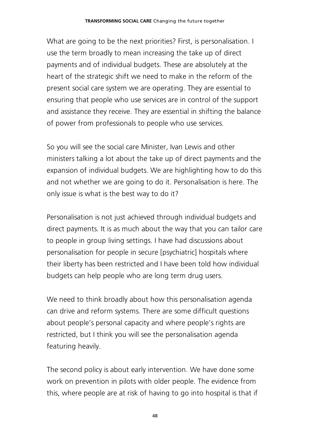What are going to be the next priorities? First, is personalisation. I use the term broadly to mean increasing the take up of direct payments and of individual budgets. These are absolutely at the heart of the strategic shift we need to make in the reform of the present social care system we are operating. They are essential to ensuring that people who use services are in control of the support and assistance they receive. They are essential in shifting the balance of power from professionals to people who use services.

So you will see the social care Minister, Ivan Lewis and other ministers talking a lot about the take up of direct payments and the expansion of individual budgets. We are highlighting how to do this and not whether we are going to do it. Personalisation is here. The only issue is what is the best way to do it?

Personalisation is not just achieved through individual budgets and direct payments. It is as much about the way that you can tailor care to people in group living settings. I have had discussions about personalisation for people in secure [psychiatric] hospitals where their liberty has been restricted and I have been told how individual budgets can help people who are long term drug users.

We need to think broadly about how this personalisation agenda can drive and reform systems. There are some difficult questions about people's personal capacity and where people's rights are restricted, but I think you will see the personalisation agenda featuring heavily.

The second policy is about early intervention. We have done some work on prevention in pilots with older people. The evidence from this, where people are at risk of having to go into hospital is that if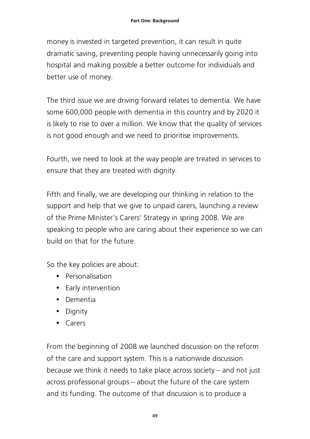money is invested in targeted prevention, it can result in quite dramatic saving, preventing people having unnecessarily going into hospital and making possible a better outcome for individuals and better use of money.

The third issue we are driving forward relates to dementia. We have some 600,000 people with dementia in this country and by 2020 it is likely to rise to over a million. We know that the quality of services is not good enough and we need to prioritise improvements.

Fourth, we need to look at the way people are treated in services to ensure that they are treated with dignity.

Fifth and finally, we are developing our thinking in relation to the support and help that we give to unpaid carers, launching a review of the Prime Minister's Carers' Strategy in spring 2008. We are speaking to people who are caring about their experience so we can build on that for the future.

So the key policies are about:

- Personalisation
- Early intervention
- Dementia
- Dignity
- Carers

From the beginning of 2008 we launched discussion on the reform of the care and support system. This is a nationwide discussion because we think it needs to take place across society – and not just across professional groups – about the future of the care system and its funding. The outcome of that discussion is to produce a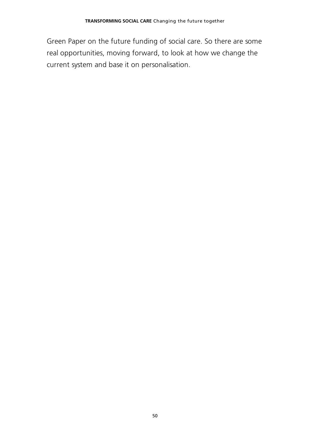Green Paper on the future funding of social care. So there are some real opportunities, moving forward, to look at how we change the current system and base it on personalisation.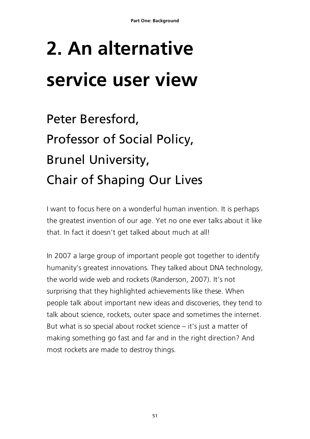## **2. An alternative service user view**

Peter Beresford, Professor of Social Policy, Brunel University, Chair of Shaping Our Lives

I want to focus here on a wonderful human invention. It is perhaps the greatest invention of our age. Yet no one ever talks about it like that. In fact it doesn't get talked about much at all!

In 2007 a large group of important people got together to identify humanity's greatest innovations. They talked about DNA technology, the world wide web and rockets (Randerson, 2007). It's not surprising that they highlighted achievements like these. When people talk about important new ideas and discoveries, they tend to talk about science, rockets, outer space and sometimes the internet. But what is so special about rocket science – it's just a matter of making something go fast and far and in the right direction? And most rockets are made to destroy things.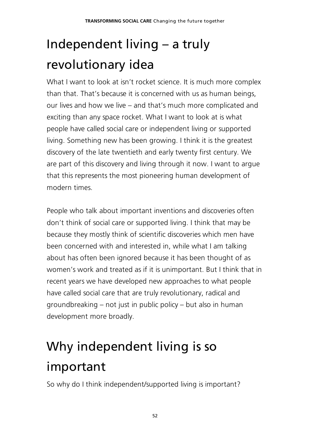## Independent living – a truly revolutionary idea

What I want to look at isn't rocket science. It is much more complex than that. That's because it is concerned with us as human beings, our lives and how we live – and that's much more complicated and exciting than any space rocket. What I want to look at is what people have called social care or independent living or supported living. Something new has been growing. I think it is the greatest discovery of the late twentieth and early twenty first century. We are part of this discovery and living through it now. I want to argue that this represents the most pioneering human development of modern times.

People who talk about important inventions and discoveries often don't think of social care or supported living. I think that may be because they mostly think of scientific discoveries which men have been concerned with and interested in, while what I am talking about has often been ignored because it has been thought of as women's work and treated as if it is unimportant. But I think that in recent years we have developed new approaches to what people have called social care that are truly revolutionary, radical and groundbreaking – not just in public policy – but also in human development more broadly.

## Why independent living is so important

So why do I think independent/supported living is important?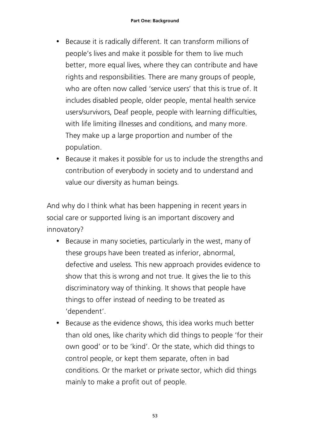- Because it is radically different. It can transform millions of people's lives and make it possible for them to live much better, more equal lives, where they can contribute and have rights and responsibilities. There are many groups of people, who are often now called 'service users' that this is true of. It includes disabled people, older people, mental health service users/survivors, Deaf people, people with learning difficulties, with life limiting illnesses and conditions, and many more. They make up a large proportion and number of the population.
- Because it makes it possible for us to include the strengths and contribution of everybody in society and to understand and value our diversity as human beings.

And why do I think what has been happening in recent years in social care or supported living is an important discovery and innovatory?

- Because in many societies, particularly in the west, many of these groups have been treated as inferior, abnormal, defective and useless. This new approach provides evidence to show that this is wrong and not true. It gives the lie to this discriminatory way of thinking. It shows that people have things to offer instead of needing to be treated as 'dependent'.
- Because as the evidence shows, this idea works much better than old ones, like charity which did things to people 'for their own good' or to be 'kind'. Or the state, which did things to control people, or kept them separate, often in bad conditions. Or the market or private sector, which did things mainly to make a profit out of people.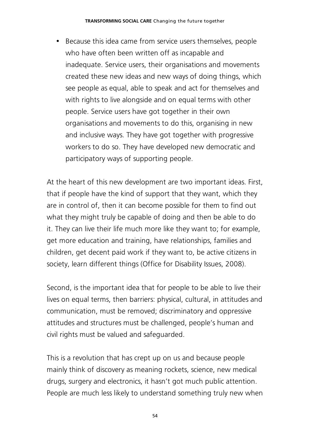• Because this idea came from service users themselves, people who have often been written off as incapable and inadequate. Service users, their organisations and movements created these new ideas and new ways of doing things, which see people as equal, able to speak and act for themselves and with rights to live alongside and on equal terms with other people. Service users have got together in their own organisations and movements to do this, organising in new and inclusive ways. They have got together with progressive workers to do so. They have developed new democratic and participatory ways of supporting people.

At the heart of this new development are two important ideas. First, that if people have the kind of support that they want, which they are in control of, then it can become possible for them to find out what they might truly be capable of doing and then be able to do it. They can live their life much more like they want to; for example, get more education and training, have relationships, families and children, get decent paid work if they want to, be active citizens in society, learn different things (Office for Disability Issues, 2008).

Second, is the important idea that for people to be able to live their lives on equal terms, then barriers: physical, cultural, in attitudes and communication, must be removed; discriminatory and oppressive attitudes and structures must be challenged, people's human and civil rights must be valued and safeguarded.

This is a revolution that has crept up on us and because people mainly think of discovery as meaning rockets, science, new medical drugs, surgery and electronics, it hasn't got much public attention. People are much less likely to understand something truly new when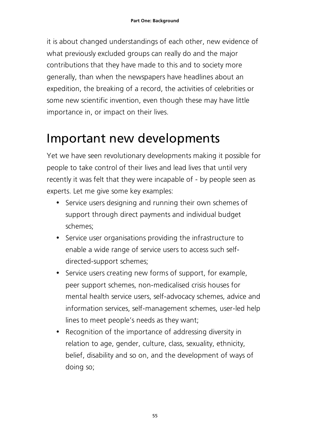it is about changed understandings of each other, new evidence of what previously excluded groups can really do and the major contributions that they have made to this and to society more generally, than when the newspapers have headlines about an expedition, the breaking of a record, the activities of celebrities or some new scientific invention, even though these may have little importance in, or impact on their lives.

### Important new developments

Yet we have seen revolutionary developments making it possible for people to take control of their lives and lead lives that until very recently it was felt that they were incapable of - by people seen as experts. Let me give some key examples:

- Service users designing and running their own schemes of support through direct payments and individual budget schemes;
- Service user organisations providing the infrastructure to enable a wide range of service users to access such selfdirected-support schemes;
- Service users creating new forms of support, for example, peer support schemes, non-medicalised crisis houses for mental health service users, self-advocacy schemes, advice and information services, self-management schemes, user-led help lines to meet people's needs as they want;
- Recognition of the importance of addressing diversity in relation to age, gender, culture, class, sexuality, ethnicity, belief, disability and so on, and the development of ways of doing so;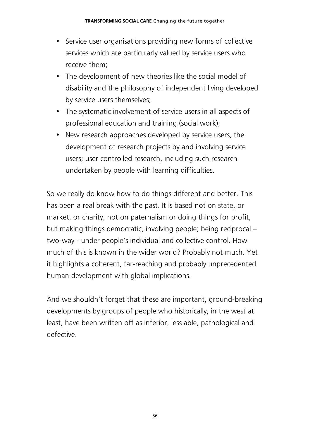- Service user organisations providing new forms of collective services which are particularly valued by service users who receive them;
- The development of new theories like the social model of disability and the philosophy of independent living developed by service users themselves;
- The systematic involvement of service users in all aspects of professional education and training (social work);
- New research approaches developed by service users, the development of research projects by and involving service users; user controlled research, including such research undertaken by people with learning difficulties.

So we really do know how to do things different and better. This has been a real break with the past. It is based not on state, or market, or charity, not on paternalism or doing things for profit, but making things democratic, involving people; being reciprocal – two-way - under people's individual and collective control. How much of this is known in the wider world? Probably not much. Yet it highlights a coherent, far-reaching and probably unprecedented human development with global implications.

And we shouldn't forget that these are important, ground-breaking developments by groups of people who historically, in the west at least, have been written off as inferior, less able, pathological and defective.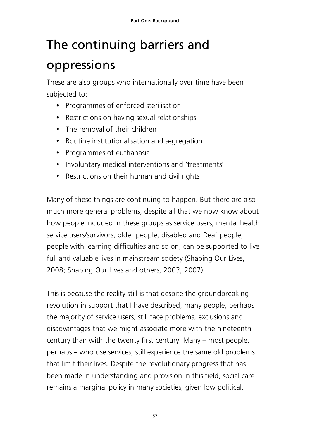## The continuing barriers and oppressions

These are also groups who internationally over time have been subjected to:

- Programmes of enforced sterilisation
- Restrictions on having sexual relationships
- The removal of their children
- Routine institutionalisation and segregation
- Programmes of euthanasia
- Involuntary medical interventions and 'treatments'
- Restrictions on their human and civil rights

Many of these things are continuing to happen. But there are also much more general problems, despite all that we now know about how people included in these groups as service users; mental health service users/survivors, older people, disabled and Deaf people, people with learning difficulties and so on, can be supported to live full and valuable lives in mainstream society (Shaping Our Lives, 2008; Shaping Our Lives and others, 2003, 2007).

This is because the reality still is that despite the groundbreaking revolution in support that I have described, many people, perhaps the majority of service users, still face problems, exclusions and disadvantages that we might associate more with the nineteenth century than with the twenty first century. Many – most people, perhaps – who use services, still experience the same old problems that limit their lives. Despite the revolutionary progress that has been made in understanding and provision in this field, social care remains a marginal policy in many societies, given low political,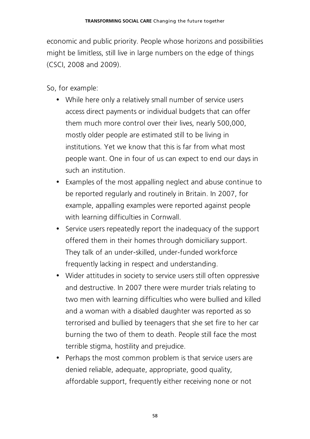economic and public priority. People whose horizons and possibilities might be limitless, still live in large numbers on the edge of things (CSCI, 2008 and 2009).

So, for example:

- While here only a relatively small number of service users access direct payments or individual budgets that can offer them much more control over their lives, nearly 500,000, mostly older people are estimated still to be living in institutions. Yet we know that this is far from what most people want. One in four of us can expect to end our days in such an institution.
- Examples of the most appalling neglect and abuse continue to be reported regularly and routinely in Britain. In 2007, for example, appalling examples were reported against people with learning difficulties in Cornwall.
- Service users repeatedly report the inadequacy of the support offered them in their homes through domiciliary support. They talk of an under-skilled, under-funded workforce frequently lacking in respect and understanding.
- Wider attitudes in society to service users still often oppressive and destructive. In 2007 there were murder trials relating to two men with learning difficulties who were bullied and killed and a woman with a disabled daughter was reported as so terrorised and bullied by teenagers that she set fire to her car burning the two of them to death. People still face the most terrible stigma, hostility and prejudice.
- Perhaps the most common problem is that service users are denied reliable, adequate, appropriate, good quality, affordable support, frequently either receiving none or not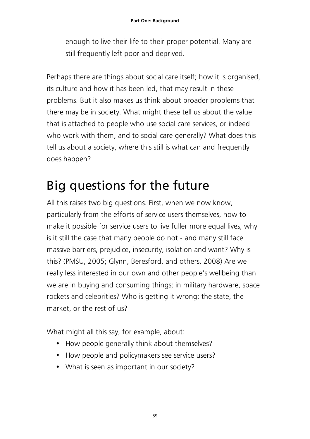enough to live their life to their proper potential. Many are still frequently left poor and deprived.

Perhaps there are things about social care itself; how it is organised, its culture and how it has been led, that may result in these problems. But it also makes us think about broader problems that there may be in society. What might these tell us about the value that is attached to people who use social care services, or indeed who work with them, and to social care generally? What does this tell us about a society, where this still is what can and frequently does happen?

### Big questions for the future

All this raises two big questions. First, when we now know, particularly from the efforts of service users themselves, how to make it possible for service users to live fuller more equal lives, why is it still the case that many people do not - and many still face massive barriers, prejudice, insecurity, isolation and want? Why is this? (PMSU, 2005; Glynn, Beresford, and others, 2008) Are we really less interested in our own and other people's wellbeing than we are in buying and consuming things; in military hardware, space rockets and celebrities? Who is getting it wrong: the state, the market, or the rest of us?

What might all this say, for example, about:

- How people generally think about themselves?
- How people and policymakers see service users?
- What is seen as important in our society?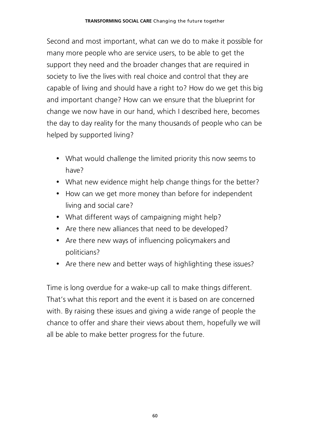Second and most important, what can we do to make it possible for many more people who are service users, to be able to get the support they need and the broader changes that are required in society to live the lives with real choice and control that they are capable of living and should have a right to? How do we get this big and important change? How can we ensure that the blueprint for change we now have in our hand, which I described here, becomes the day to day reality for the many thousands of people who can be helped by supported living?

- What would challenge the limited priority this now seems to have?
- What new evidence might help change things for the better?
- How can we get more money than before for independent living and social care?
- What different ways of campaigning might help?
- Are there new alliances that need to be developed?
- Are there new ways of influencing policymakers and politicians?
- Are there new and better ways of highlighting these issues?

Time is long overdue for a wake-up call to make things different. That's what this report and the event it is based on are concerned with. By raising these issues and giving a wide range of people the chance to offer and share their views about them, hopefully we will all be able to make better progress for the future.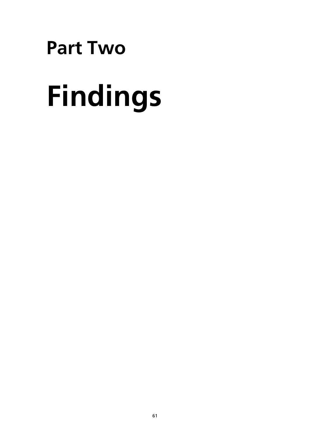# **Part Two Findings**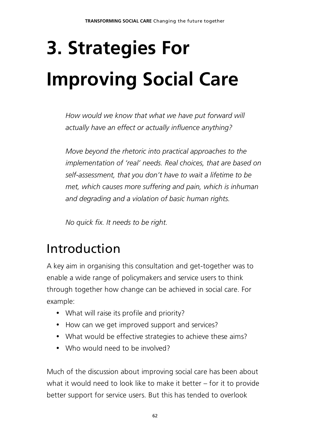## **3. Strategies For Improving Social Care**

*How would we know that what we have put forward will actually have an effect or actually influence anything?*

*Move beyond the rhetoric into practical approaches to the implementation of 'real' needs. Real choices, that are based on self-assessment, that you don't have to wait a lifetime to be met, which causes more suffering and pain, which is inhuman and degrading and a violation of basic human rights.*

*No quick fix. It needs to be right.*

### Introduction

A key aim in organising this consultation and get-together was to enable a wide range of policymakers and service users to think through together how change can be achieved in social care. For example:

- What will raise its profile and priority?
- How can we get improved support and services?
- What would be effective strategies to achieve these aims?
- Who would need to be involved?

Much of the discussion about improving social care has been about what it would need to look like to make it better – for it to provide better support for service users. But this has tended to overlook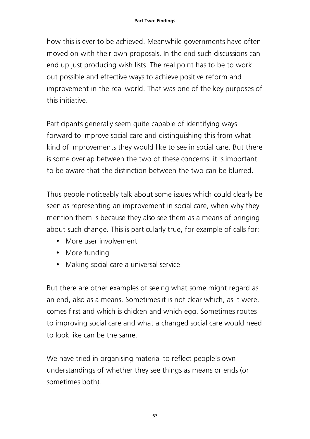how this is ever to be achieved. Meanwhile governments have often moved on with their own proposals. In the end such discussions can end up just producing wish lists. The real point has to be to work out possible and effective ways to achieve positive reform and improvement in the real world. That was one of the key purposes of this initiative.

Participants generally seem quite capable of identifying ways forward to improve social care and distinguishing this from what kind of improvements they would like to see in social care. But there is some overlap between the two of these concerns. it is important to be aware that the distinction between the two can be blurred.

Thus people noticeably talk about some issues which could clearly be seen as representing an improvement in social care, when why they mention them is because they also see them as a means of bringing about such change. This is particularly true, for example of calls for:

- More user involvement
- More funding
- Making social care a universal service

But there are other examples of seeing what some might regard as an end, also as a means. Sometimes it is not clear which, as it were, comes first and which is chicken and which egg. Sometimes routes to improving social care and what a changed social care would need to look like can be the same.

We have tried in organising material to reflect people's own understandings of whether they see things as means or ends (or sometimes both).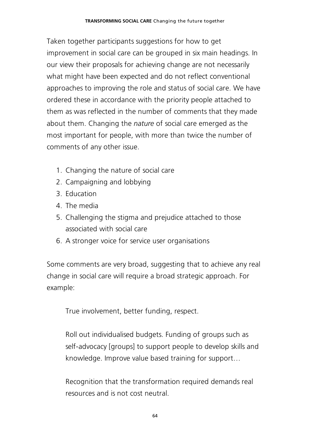Taken together participants suggestions for how to get improvement in social care can be grouped in six main headings. In our view their proposals for achieving change are not necessarily what might have been expected and do not reflect conventional approaches to improving the role and status of social care. We have ordered these in accordance with the priority people attached to them as was reflected in the number of comments that they made about them. Changing the *nature* of social care emerged as the most important for people, with more than twice the number of comments of any other issue.

- 1. Changing the nature of social care
- 2. Campaigning and lobbying
- 3. Education
- 4. The media
- 5. Challenging the stigma and prejudice attached to those associated with social care
- 6. A stronger voice for service user organisations

Some comments are very broad, suggesting that to achieve any real change in social care will require a broad strategic approach. For example:

True involvement, better funding, respect.

Roll out individualised budgets. Funding of groups such as self-advocacy [groups] to support people to develop skills and knowledge. Improve value based training for support…

Recognition that the transformation required demands real resources and is not cost neutral.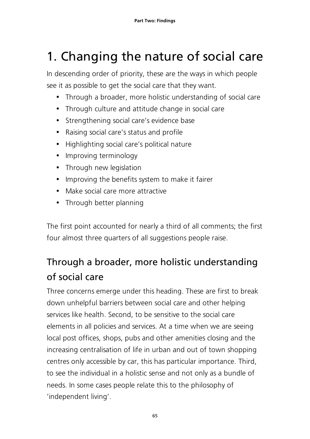## 1. Changing the nature of social care

In descending order of priority, these are the ways in which people see it as possible to get the social care that they want.

- Through a broader, more holistic understanding of social care
- Through culture and attitude change in social care
- Strengthening social care's evidence base
- Raising social care's status and profile
- Highlighting social care's political nature
- Improving terminology
- Through new legislation
- Improving the benefits system to make it fairer
- Make social care more attractive
- Through better planning

The first point accounted for nearly a third of all comments; the first four almost three quarters of all suggestions people raise.

### Through a broader, more holistic understanding of social care

Three concerns emerge under this heading. These are first to break down unhelpful barriers between social care and other helping services like health. Second, to be sensitive to the social care elements in all policies and services. At a time when we are seeing local post offices, shops, pubs and other amenities closing and the increasing centralisation of life in urban and out of town shopping centres only accessible by car, this has particular importance. Third, to see the individual in a holistic sense and not only as a bundle of needs. In some cases people relate this to the philosophy of 'independent living'.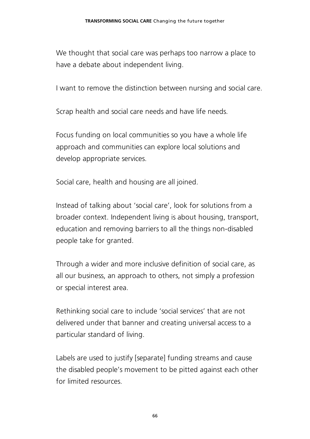We thought that social care was perhaps too narrow a place to have a debate about independent living.

I want to remove the distinction between nursing and social care.

Scrap health and social care needs and have life needs.

Focus funding on local communities so you have a whole life approach and communities can explore local solutions and develop appropriate services.

Social care, health and housing are all joined.

Instead of talking about 'social care', look for solutions from a broader context. Independent living is about housing, transport, education and removing barriers to all the things non-disabled people take for granted.

Through a wider and more inclusive definition of social care, as all our business, an approach to others, not simply a profession or special interest area.

Rethinking social care to include 'social services' that are not delivered under that banner and creating universal access to a particular standard of living.

Labels are used to justify [separate] funding streams and cause the disabled people's movement to be pitted against each other for limited resources.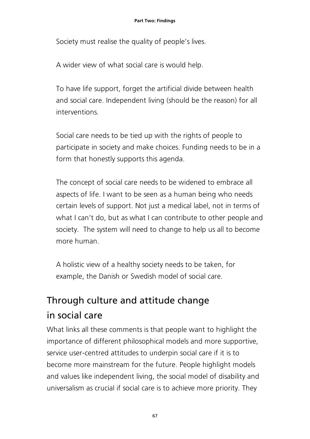Society must realise the quality of people's lives.

A wider view of what social care is would help.

To have life support, forget the artificial divide between health and social care. Independent living (should be the reason) for all interventions.

Social care needs to be tied up with the rights of people to participate in society and make choices. Funding needs to be in a form that honestly supports this agenda.

The concept of social care needs to be widened to embrace all aspects of life. I want to be seen as a human being who needs certain levels of support. Not just a medical label, not in terms of what I can't do, but as what I can contribute to other people and society. The system will need to change to help us all to become more human.

A holistic view of a healthy society needs to be taken, for example, the Danish or Swedish model of social care.

### Through culture and attitude change in social care

What links all these comments is that people want to highlight the importance of different philosophical models and more supportive, service user-centred attitudes to underpin social care if it is to become more mainstream for the future. People highlight models and values like independent living, the social model of disability and universalism as crucial if social care is to achieve more priority. They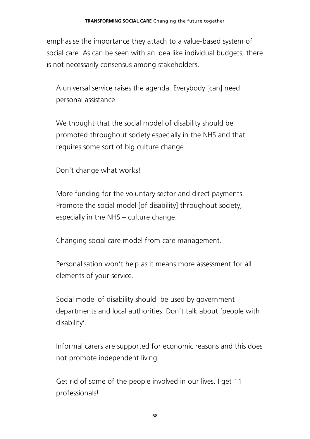emphasise the importance they attach to a value-based system of social care. As can be seen with an idea like individual budgets, there is not necessarily consensus among stakeholders.

A universal service raises the agenda. Everybody [can] need personal assistance.

We thought that the social model of disability should be promoted throughout society especially in the NHS and that requires some sort of big culture change.

Don't change what works!

More funding for the voluntary sector and direct payments. Promote the social model [of disability] throughout society, especially in the NHS – culture change.

Changing social care model from care management.

Personalisation won't help as it means more assessment for all elements of your service.

Social model of disability should be used by government departments and local authorities. Don't talk about 'people with disability'.

Informal carers are supported for economic reasons and this does not promote independent living.

Get rid of some of the people involved in our lives. I get 11 professionals!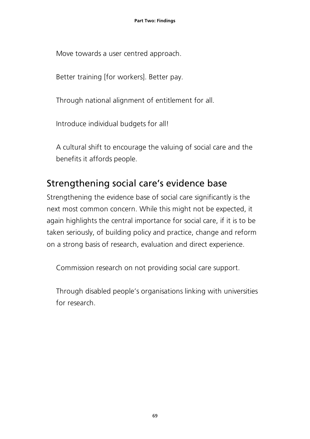Move towards a user centred approach.

Better training [for workers]. Better pay.

Through national alignment of entitlement for all.

Introduce individual budgets for all!

A cultural shift to encourage the valuing of social care and the benefits it affords people.

#### Strengthening social care's evidence base

Strengthening the evidence base of social care significantly is the next most common concern. While this might not be expected, it again highlights the central importance for social care, if it is to be taken seriously, of building policy and practice, change and reform on a strong basis of research, evaluation and direct experience.

Commission research on not providing social care support.

Through disabled people's organisations linking with universities for research.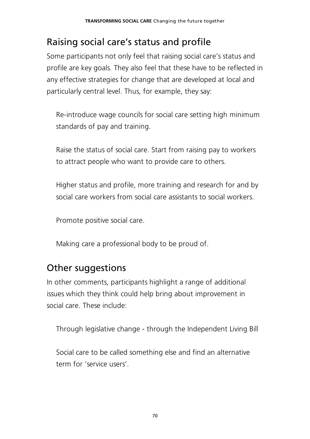#### Raising social care's status and profile

Some participants not only feel that raising social care's status and profile are key goals. They also feel that these have to be reflected in any effective strategies for change that are developed at local and particularly central level. Thus, for example, they say:

Re-introduce wage councils for social care setting high minimum standards of pay and training.

Raise the status of social care. Start from raising pay to workers to attract people who want to provide care to others.

Higher status and profile, more training and research for and by social care workers from social care assistants to social workers.

Promote positive social care.

Making care a professional body to be proud of.

#### Other suggestions

In other comments, participants highlight a range of additional issues which they think could help bring about improvement in social care. These include:

Through legislative change - through the Independent Living Bill

Social care to be called something else and find an alternative term for 'service users'.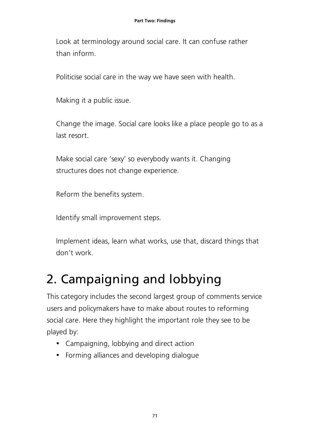Look at terminology around social care. It can confuse rather than inform.

Politicise social care in the way we have seen with health.

Making it a public issue.

Change the image. Social care looks like a place people go to as a last resort.

Make social care 'sexy' so everybody wants it. Changing structures does not change experience.

Reform the benefits system.

Identify small improvement steps.

Implement ideas, learn what works, use that, discard things that don't work.

### 2. Campaigning and lobbying

This category includes the second largest group of comments service users and policymakers have to make about routes to reforming social care. Here they highlight the important role they see to be played by:

- Campaigning, lobbying and direct action
- Forming alliances and developing dialogue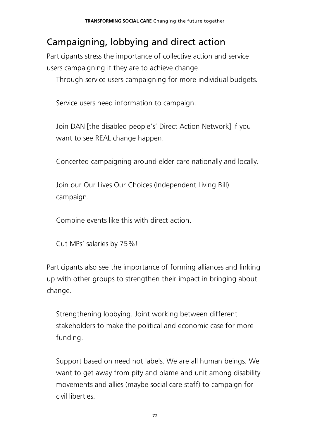#### Campaigning, lobbying and direct action

Participants stress the importance of collective action and service users campaigning if they are to achieve change.

Through service users campaigning for more individual budgets.

Service users need information to campaign.

Join DAN [the disabled people's' Direct Action Network] if you want to see REAL change happen.

Concerted campaigning around elder care nationally and locally.

Join our Our Lives Our Choices (Independent Living Bill) campaign.

Combine events like this with direct action.

Cut MPs' salaries by 75%!

Participants also see the importance of forming alliances and linking up with other groups to strengthen their impact in bringing about change.

Strengthening lobbying. Joint working between different stakeholders to make the political and economic case for more funding.

Support based on need not labels. We are all human beings. We want to get away from pity and blame and unit among disability movements and allies (maybe social care staff) to campaign for civil liberties.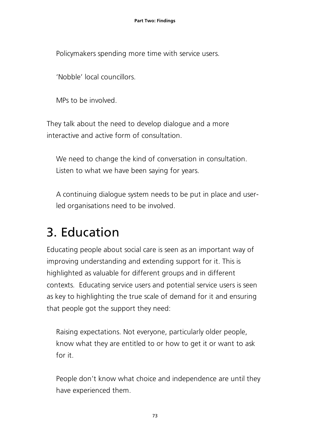Policymakers spending more time with service users.

'Nobble' local councillors.

MPs to be involved.

They talk about the need to develop dialogue and a more interactive and active form of consultation.

We need to change the kind of conversation in consultation. Listen to what we have been saying for years.

A continuing dialogue system needs to be put in place and userled organisations need to be involved.

### 3. Education

Educating people about social care is seen as an important way of improving understanding and extending support for it. This is highlighted as valuable for different groups and in different contexts. Educating service users and potential service users is seen as key to highlighting the true scale of demand for it and ensuring that people got the support they need:

Raising expectations. Not everyone, particularly older people, know what they are entitled to or how to get it or want to ask for it.

People don't know what choice and independence are until they have experienced them.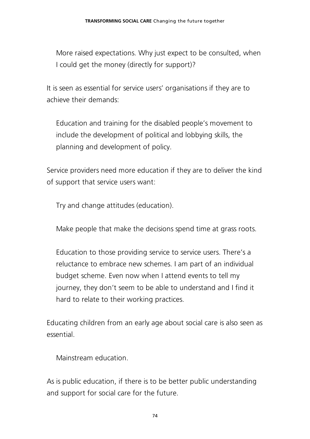More raised expectations. Why just expect to be consulted, when I could get the money (directly for support)?

It is seen as essential for service users' organisations if they are to achieve their demands:

Education and training for the disabled people's movement to include the development of political and lobbying skills, the planning and development of policy.

Service providers need more education if they are to deliver the kind of support that service users want:

Try and change attitudes (education).

Make people that make the decisions spend time at grass roots.

Education to those providing service to service users. There's a reluctance to embrace new schemes. I am part of an individual budget scheme. Even now when I attend events to tell my journey, they don't seem to be able to understand and I find it hard to relate to their working practices.

Educating children from an early age about social care is also seen as essential.

Mainstream education.

As is public education, if there is to be better public understanding and support for social care for the future.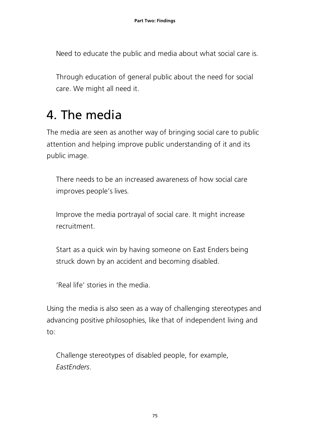Need to educate the public and media about what social care is.

Through education of general public about the need for social care. We might all need it.

### 4. The media

The media are seen as another way of bringing social care to public attention and helping improve public understanding of it and its public image.

There needs to be an increased awareness of how social care improves people's lives.

Improve the media portrayal of social care. It might increase recruitment.

Start as a quick win by having someone on East Enders being struck down by an accident and becoming disabled.

'Real life' stories in the media.

Using the media is also seen as a way of challenging stereotypes and advancing positive philosophies, like that of independent living and to:

Challenge stereotypes of disabled people, for example, *EastEnders*.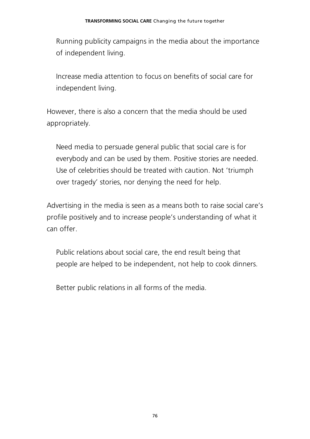Running publicity campaigns in the media about the importance of independent living.

Increase media attention to focus on benefits of social care for independent living.

However, there is also a concern that the media should be used appropriately.

Need media to persuade general public that social care is for everybody and can be used by them. Positive stories are needed. Use of celebrities should be treated with caution. Not 'triumph over tragedy' stories, nor denying the need for help.

Advertising in the media is seen as a means both to raise social care's profile positively and to increase people's understanding of what it can offer.

Public relations about social care, the end result being that people are helped to be independent, not help to cook dinners.

Better public relations in all forms of the media.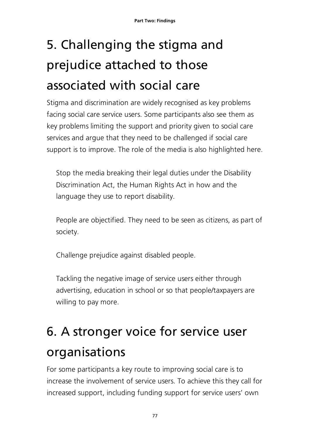## 5. Challenging the stigma and prejudice attached to those associated with social care

Stigma and discrimination are widely recognised as key problems facing social care service users. Some participants also see them as key problems limiting the support and priority given to social care services and argue that they need to be challenged if social care support is to improve. The role of the media is also highlighted here.

Stop the media breaking their legal duties under the Disability Discrimination Act, the Human Rights Act in how and the language they use to report disability.

People are objectified. They need to be seen as citizens, as part of society.

Challenge prejudice against disabled people.

Tackling the negative image of service users either through advertising, education in school or so that people/taxpayers are willing to pay more.

## 6. A stronger voice for service user organisations

For some participants a key route to improving social care is to increase the involvement of service users. To achieve this they call for increased support, including funding support for service users' own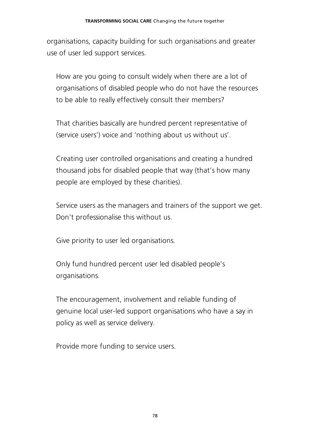organisations, capacity building for such organisations and greater use of user led support services.

How are you going to consult widely when there are a lot of organisations of disabled people who do not have the resources to be able to really effectively consult their members?

That charities basically are hundred percent representative of (service users') voice and 'nothing about us without us'.

Creating user controlled organisations and creating a hundred thousand jobs for disabled people that way (that's how many people are employed by these charities).

Service users as the managers and trainers of the support we get. Don't professionalise this without us.

Give priority to user led organisations.

Only fund hundred percent user led disabled people's organisations.

The encouragement, involvement and reliable funding of genuine local user-led support organisations who have a say in policy as well as service delivery.

Provide more funding to service users.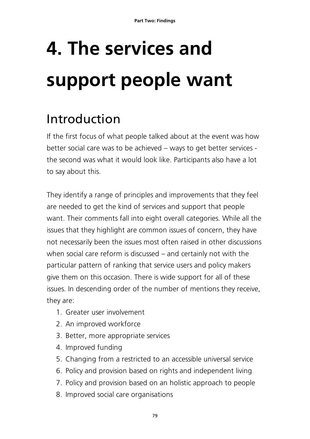# **4. The services and support people want**

## Introduction

If the first focus of what people talked about at the event was how better social care was to be achieved – ways to get better services the second was what it would look like. Participants also have a lot to say about this.

They identify a range of principles and improvements that they feel are needed to get the kind of services and support that people want. Their comments fall into eight overall categories. While all the issues that they highlight are common issues of concern, they have not necessarily been the issues most often raised in other discussions when social care reform is discussed – and certainly not with the particular pattern of ranking that service users and policy makers give them on this occasion. There is wide support for all of these issues. In descending order of the number of mentions they receive, they are:

- 1. Greater user involvement
- 2. An improved workforce
- 3. Better, more appropriate services
- 4. Improved funding
- 5. Changing from a restricted to an accessible universal service
- 6. Policy and provision based on rights and independent living
- 7. Policy and provision based on an holistic approach to people
- 8. Improved social care organisations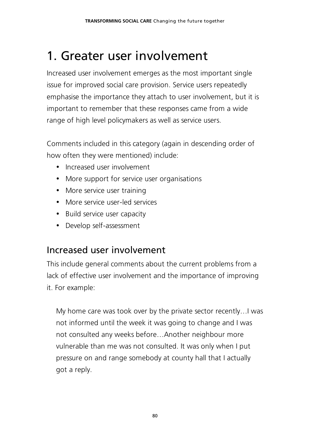## 1. Greater user involvement

Increased user involvement emerges as the most important single issue for improved social care provision. Service users repeatedly emphasise the importance they attach to user involvement, but it is important to remember that these responses came from a wide range of high level policymakers as well as service users.

Comments included in this category (again in descending order of how often they were mentioned) include:

- Increased user involvement
- More support for service user organisations
- More service user training
- More service user-led services
- Build service user capacity
- Develop self-assessment

#### Increased user involvement

This include general comments about the current problems from a lack of effective user involvement and the importance of improving it. For example:

My home care was took over by the private sector recently…I was not informed until the week it was going to change and I was not consulted any weeks before…Another neighbour more vulnerable than me was not consulted. It was only when I put pressure on and range somebody at county hall that I actually got a reply.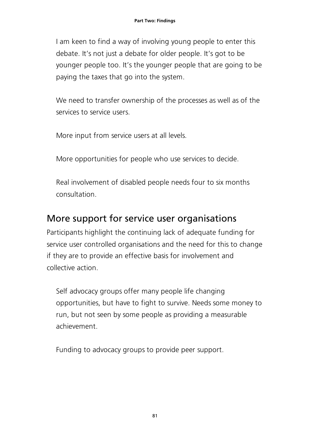I am keen to find a way of involving young people to enter this debate. It's not just a debate for older people. It's got to be younger people too. It's the younger people that are going to be paying the taxes that go into the system.

We need to transfer ownership of the processes as well as of the services to service users.

More input from service users at all levels.

More opportunities for people who use services to decide.

Real involvement of disabled people needs four to six months consultation.

#### More support for service user organisations

Participants highlight the continuing lack of adequate funding for service user controlled organisations and the need for this to change if they are to provide an effective basis for involvement and collective action.

Self advocacy groups offer many people life changing opportunities, but have to fight to survive. Needs some money to run, but not seen by some people as providing a measurable achievement.

Funding to advocacy groups to provide peer support.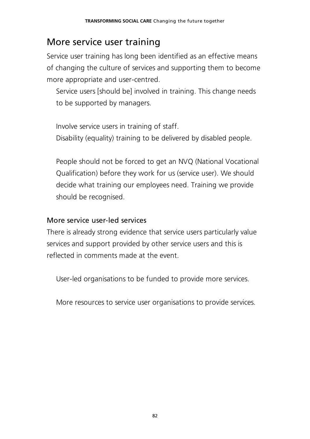#### More service user training

Service user training has long been identified as an effective means of changing the culture of services and supporting them to become more appropriate and user-centred.

Service users [should be] involved in training. This change needs to be supported by managers.

Involve service users in training of staff. Disability (equality) training to be delivered by disabled people.

People should not be forced to get an NVQ (National Vocational Qualification) before they work for us (service user). We should decide what training our employees need. Training we provide should be recognised.

#### More service user-led services

There is already strong evidence that service users particularly value services and support provided by other service users and this is reflected in comments made at the event.

User-led organisations to be funded to provide more services.

More resources to service user organisations to provide services.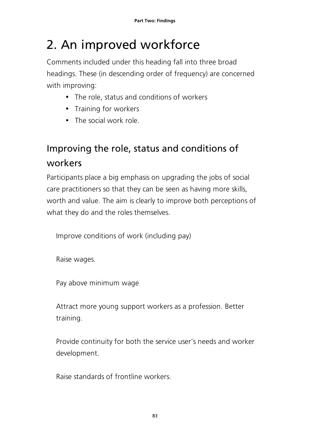## 2. An improved workforce

Comments included under this heading fall into three broad headings. These (in descending order of frequency) are concerned with improving:

- The role, status and conditions of workers
- Training for workers
- The social work role.

#### Improving the role, status and conditions of workers

Participants place a big emphasis on upgrading the jobs of social care practitioners so that they can be seen as having more skills, worth and value. The aim is clearly to improve both perceptions of what they do and the roles themselves.

Improve conditions of work (including pay)

Raise wages.

Pay above minimum wage

Attract more young support workers as a profession. Better training.

Provide continuity for both the service user's needs and worker development.

Raise standards of frontline workers.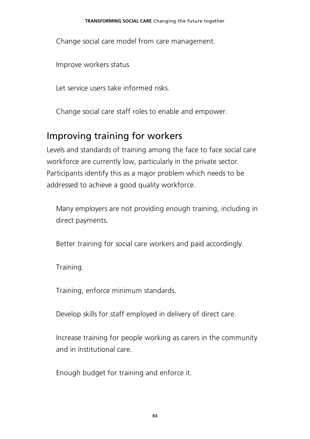Change social care model from care management.

Improve workers status

Let service users take informed risks.

Change social care staff roles to enable and empower.

#### Improving training for workers

Levels and standards of training among the face to face social care workforce are currently low, particularly in the private sector. Participants identify this as a major problem which needs to be addressed to achieve a good quality workforce.

Many employers are not providing enough training, including in direct payments.

Better training for social care workers and paid accordingly.

Training.

Training, enforce minimum standards.

Develop skills for staff employed in delivery of direct care.

Increase training for people working as carers in the community and in institutional care.

Enough budget for training and enforce it.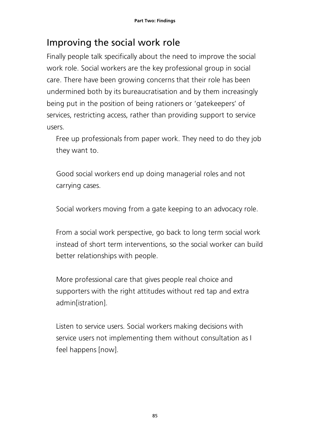#### Improving the social work role

Finally people talk specifically about the need to improve the social work role. Social workers are the key professional group in social care. There have been growing concerns that their role has been undermined both by its bureaucratisation and by them increasingly being put in the position of being rationers or 'gatekeepers' of services, restricting access, rather than providing support to service users.

Free up professionals from paper work. They need to do they job they want to.

Good social workers end up doing managerial roles and not carrying cases.

Social workers moving from a gate keeping to an advocacy role.

From a social work perspective, go back to long term social work instead of short term interventions, so the social worker can build better relationships with people.

More professional care that gives people real choice and supporters with the right attitudes without red tap and extra admin[istration].

Listen to service users. Social workers making decisions with service users not implementing them without consultation as I feel happens [now].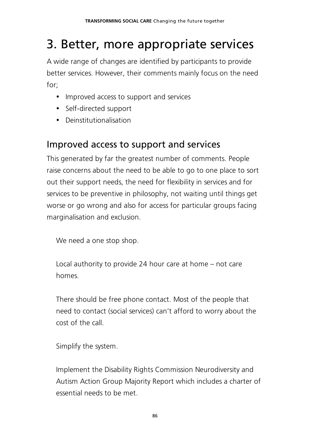## 3. Better, more appropriate services

A wide range of changes are identified by participants to provide better services. However, their comments mainly focus on the need for;

- Improved access to support and services
- Self-directed support
- Deinstitutionalisation

#### Improved access to support and services

This generated by far the greatest number of comments. People raise concerns about the need to be able to go to one place to sort out their support needs, the need for flexibility in services and for services to be preventive in philosophy, not waiting until things get worse or go wrong and also for access for particular groups facing marginalisation and exclusion.

We need a one stop shop.

Local authority to provide 24 hour care at home – not care homes.

There should be free phone contact. Most of the people that need to contact (social services) can't afford to worry about the cost of the call.

Simplify the system.

Implement the Disability Rights Commission Neurodiversity and Autism Action Group Majority Report which includes a charter of essential needs to be met.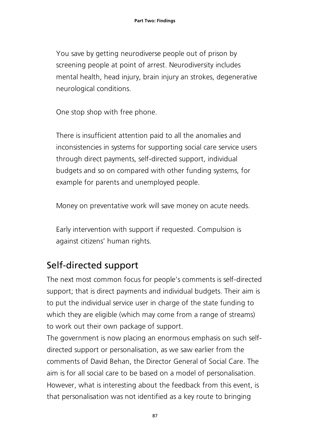You save by getting neurodiverse people out of prison by screening people at point of arrest. Neurodiversity includes mental health, head injury, brain injury an strokes, degenerative neurological conditions.

One stop shop with free phone.

There is insufficient attention paid to all the anomalies and inconsistencies in systems for supporting social care service users through direct payments, self-directed support, individual budgets and so on compared with other funding systems, for example for parents and unemployed people.

Money on preventative work will save money on acute needs.

Early intervention with support if requested. Compulsion is against citizens' human rights.

#### Self-directed support

The next most common focus for people's comments is self-directed support; that is direct payments and individual budgets. Their aim is to put the individual service user in charge of the state funding to which they are eligible (which may come from a range of streams) to work out their own package of support.

The government is now placing an enormous emphasis on such selfdirected support or personalisation, as we saw earlier from the comments of David Behan, the Director General of Social Care. The aim is for all social care to be based on a model of personalisation. However, what is interesting about the feedback from this event, is that personalisation was not identified as a key route to bringing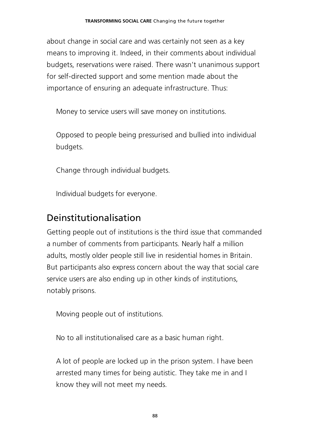about change in social care and was certainly not seen as a key means to improving it. Indeed, in their comments about individual budgets, reservations were raised. There wasn't unanimous support for self-directed support and some mention made about the importance of ensuring an adequate infrastructure. Thus:

Money to service users will save money on institutions.

Opposed to people being pressurised and bullied into individual budgets.

Change through individual budgets.

Individual budgets for everyone.

#### Deinstitutionalisation

Getting people out of institutions is the third issue that commanded a number of comments from participants. Nearly half a million adults, mostly older people still live in residential homes in Britain. But participants also express concern about the way that social care service users are also ending up in other kinds of institutions, notably prisons.

Moving people out of institutions.

No to all institutionalised care as a basic human right.

A lot of people are locked up in the prison system. I have been arrested many times for being autistic. They take me in and I know they will not meet my needs.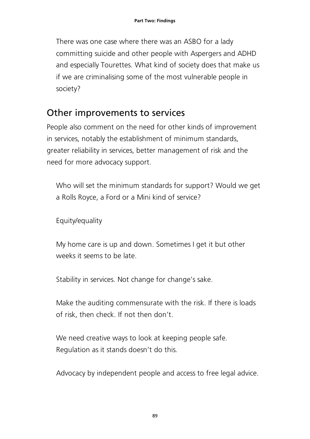There was one case where there was an ASBO for a lady committing suicide and other people with Aspergers and ADHD and especially Tourettes. What kind of society does that make us if we are criminalising some of the most vulnerable people in society?

#### Other improvements to services

People also comment on the need for other kinds of improvement in services, notably the establishment of minimum standards, greater reliability in services, better management of risk and the need for more advocacy support.

Who will set the minimum standards for support? Would we get a Rolls Royce, a Ford or a Mini kind of service?

Equity/equality

My home care is up and down. Sometimes I get it but other weeks it seems to be late.

Stability in services. Not change for change's sake.

Make the auditing commensurate with the risk. If there is loads of risk, then check. If not then don't.

We need creative ways to look at keeping people safe. Regulation as it stands doesn't do this.

Advocacy by independent people and access to free legal advice.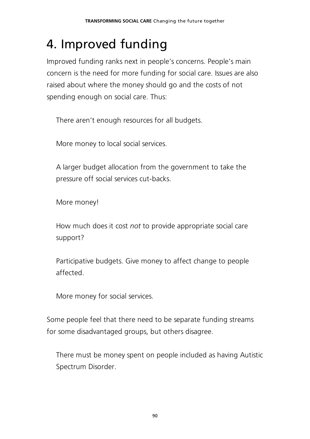## 4. Improved funding

Improved funding ranks next in people's concerns. People's main concern is the need for more funding for social care. Issues are also raised about where the money should go and the costs of not spending enough on social care. Thus:

There aren't enough resources for all budgets.

More money to local social services.

A larger budget allocation from the government to take the pressure off social services cut-backs.

More money!

How much does it cost *not* to provide appropriate social care support?

Participative budgets. Give money to affect change to people affected.

More money for social services.

Some people feel that there need to be separate funding streams for some disadvantaged groups, but others disagree.

There must be money spent on people included as having Autistic Spectrum Disorder.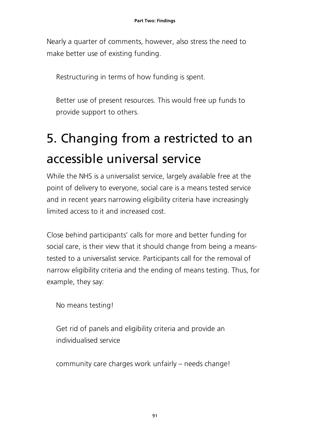Nearly a quarter of comments, however, also stress the need to make better use of existing funding.

Restructuring in terms of how funding is spent.

Better use of present resources. This would free up funds to provide support to others.

## 5. Changing from a restricted to an accessible universal service

While the NHS is a universalist service, largely available free at the point of delivery to everyone, social care is a means tested service and in recent years narrowing eligibility criteria have increasingly limited access to it and increased cost.

Close behind participants' calls for more and better funding for social care, is their view that it should change from being a meanstested to a universalist service. Participants call for the removal of narrow eligibility criteria and the ending of means testing. Thus, for example, they say:

No means testing!

Get rid of panels and eligibility criteria and provide an individualised service

community care charges work unfairly – needs change!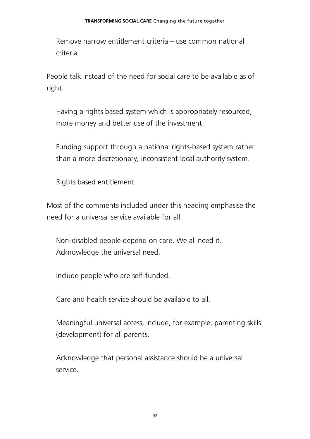Remove narrow entitlement criteria – use common national criteria.

People talk instead of the need for social care to be available as of right.

Having a rights based system which is appropriately resourced; more money and better use of the investment.

Funding support through a national rights-based system rather than a more discretionary, inconsistent local authority system.

Rights based entitlement

Most of the comments included under this heading emphasise the need for a universal service available for all.

Non-disabled people depend on care. We all need it. Acknowledge the universal need.

Include people who are self-funded.

Care and health service should be available to all.

Meaningful universal access, include, for example, parenting skills (development) for all parents.

Acknowledge that personal assistance should be a universal service.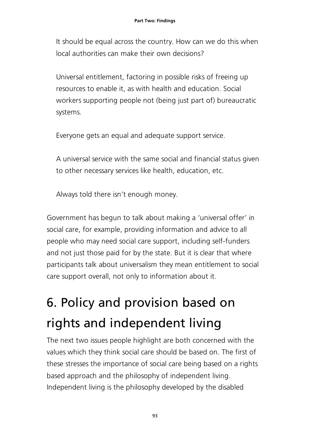It should be equal across the country. How can we do this when local authorities can make their own decisions?

Universal entitlement, factoring in possible risks of freeing up resources to enable it, as with health and education. Social workers supporting people not (being just part of) bureaucratic systems.

Everyone gets an equal and adequate support service.

A universal service with the same social and financial status given to other necessary services like health, education, etc.

Always told there isn't enough money.

Government has begun to talk about making a 'universal offer' in social care, for example, providing information and advice to all people who may need social care support, including self-funders and not just those paid for by the state. But it is clear that where participants talk about universalism they mean entitlement to social care support overall, not only to information about it.

## 6. Policy and provision based on rights and independent living

The next two issues people highlight are both concerned with the values which they think social care should be based on. The first of these stresses the importance of social care being based on a rights based approach and the philosophy of independent living. Independent living is the philosophy developed by the disabled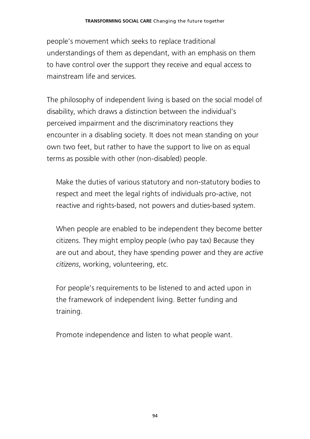people's movement which seeks to replace traditional understandings of them as dependant, with an emphasis on them to have control over the support they receive and equal access to mainstream life and services.

The philosophy of independent living is based on the social model of disability, which draws a distinction between the individual's perceived impairment and the discriminatory reactions they encounter in a disabling society. It does not mean standing on your own two feet, but rather to have the support to live on as equal terms as possible with other (non-disabled) people.

Make the duties of various statutory and non-statutory bodies to respect and meet the legal rights of individuals pro-active, not reactive and rights-based, not powers and duties-based system.

When people are enabled to be independent they become better citizens. They might employ people (who pay tax) Because they are out and about, they have spending power and they are *active citizens*, working, volunteering, etc.

For people's requirements to be listened to and acted upon in the framework of independent living. Better funding and training.

Promote independence and listen to what people want.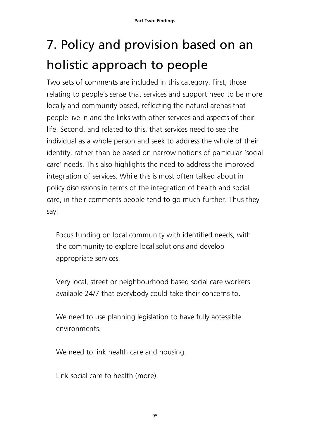## 7. Policy and provision based on an holistic approach to people

Two sets of comments are included in this category. First, those relating to people's sense that services and support need to be more locally and community based, reflecting the natural arenas that people live in and the links with other services and aspects of their life. Second, and related to this, that services need to see the individual as a whole person and seek to address the whole of their identity, rather than be based on narrow notions of particular 'social care' needs. This also highlights the need to address the improved integration of services. While this is most often talked about in policy discussions in terms of the integration of health and social care, in their comments people tend to go much further. Thus they say:

Focus funding on local community with identified needs, with the community to explore local solutions and develop appropriate services.

Very local, street or neighbourhood based social care workers available 24/7 that everybody could take their concerns to.

We need to use planning legislation to have fully accessible environments.

We need to link health care and housing.

Link social care to health (more).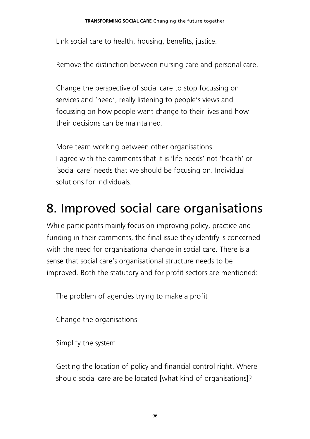Link social care to health, housing, benefits, justice.

Remove the distinction between nursing care and personal care.

Change the perspective of social care to stop focussing on services and 'need', really listening to people's views and focussing on how people want change to their lives and how their decisions can be maintained.

More team working between other organisations. I agree with the comments that it is 'life needs' not 'health' or 'social care' needs that we should be focusing on. Individual solutions for individuals.

## 8. Improved social care organisations

While participants mainly focus on improving policy, practice and funding in their comments, the final issue they identify is concerned with the need for organisational change in social care. There is a sense that social care's organisational structure needs to be improved. Both the statutory and for profit sectors are mentioned:

The problem of agencies trying to make a profit

Change the organisations

Simplify the system.

Getting the location of policy and financial control right. Where should social care are be located [what kind of organisations]?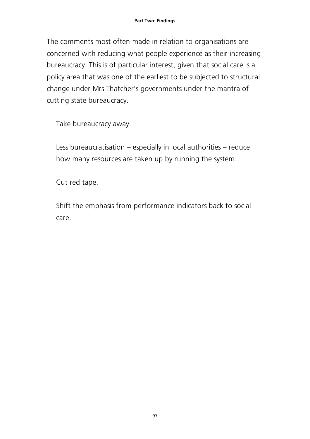The comments most often made in relation to organisations are concerned with reducing what people experience as their increasing bureaucracy. This is of particular interest, given that social care is a policy area that was one of the earliest to be subjected to structural change under Mrs Thatcher's governments under the mantra of cutting state bureaucracy.

Take bureaucracy away.

Less bureaucratisation – especially in local authorities – reduce how many resources are taken up by running the system.

Cut red tape.

Shift the emphasis from performance indicators back to social care.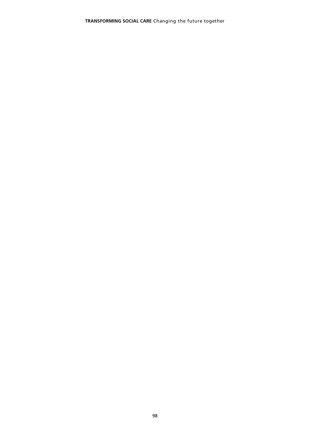**TRANSFORMING SOCIAL CARE** Changing the future together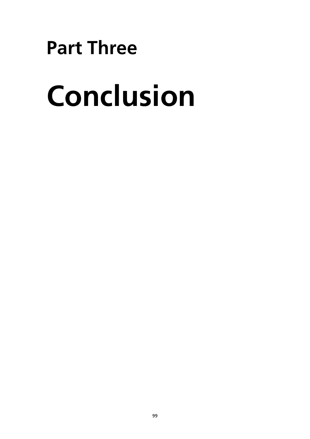## **Part Three**

# **Conclusion**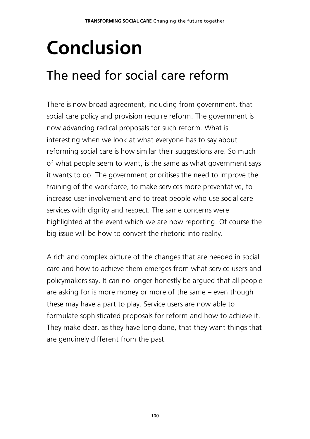## **Conclusion**

## The need for social care reform

There is now broad agreement, including from government, that social care policy and provision require reform. The government is now advancing radical proposals for such reform. What is interesting when we look at what everyone has to say about reforming social care is how similar their suggestions are. So much of what people seem to want, is the same as what government says it wants to do. The government prioritises the need to improve the training of the workforce, to make services more preventative, to increase user involvement and to treat people who use social care services with dignity and respect. The same concerns were highlighted at the event which we are now reporting. Of course the big issue will be how to convert the rhetoric into reality.

A rich and complex picture of the changes that are needed in social care and how to achieve them emerges from what service users and policymakers say. It can no longer honestly be argued that all people are asking for is more money or more of the same – even though these may have a part to play. Service users are now able to formulate sophisticated proposals for reform and how to achieve it. They make clear, as they have long done, that they want things that are genuinely different from the past.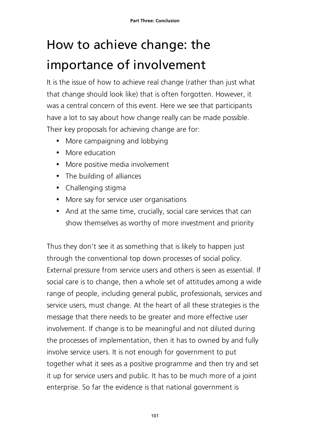## How to achieve change: the importance of involvement

It is the issue of how to achieve real change (rather than just what that change should look like) that is often forgotten. However, it was a central concern of this event. Here we see that participants have a lot to say about how change really can be made possible. Their key proposals for achieving change are for:

- More campaigning and lobbying
- More education
- More positive media involvement
- The building of alliances
- Challenging stigma
- More say for service user organisations
- And at the same time, crucially, social care services that can show themselves as worthy of more investment and priority

Thus they don't see it as something that is likely to happen just through the conventional top down processes of social policy. External pressure from service users and others is seen as essential. If social care is to change, then a whole set of attitudes among a wide range of people, including general public, professionals, services and service users, must change. At the heart of all these strategies is the message that there needs to be greater and more effective user involvement. If change is to be meaningful and not diluted during the processes of implementation, then it has to owned by and fully involve service users. It is not enough for government to put together what it sees as a positive programme and then try and set it up for service users and public. It has to be much more of a joint enterprise. So far the evidence is that national government is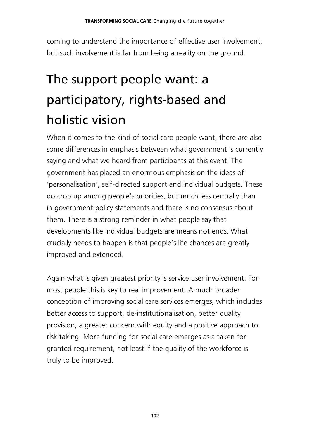coming to understand the importance of effective user involvement, but such involvement is far from being a reality on the ground.

## The support people want: a participatory, rights-based and holistic vision

When it comes to the kind of social care people want, there are also some differences in emphasis between what government is currently saying and what we heard from participants at this event. The government has placed an enormous emphasis on the ideas of 'personalisation', self-directed support and individual budgets. These do crop up among people's priorities, but much less centrally than in government policy statements and there is no consensus about them. There is a strong reminder in what people say that developments like individual budgets are means not ends. What crucially needs to happen is that people's life chances are greatly improved and extended.

Again what is given greatest priority is service user involvement. For most people this is key to real improvement. A much broader conception of improving social care services emerges, which includes better access to support, de-institutionalisation, better quality provision, a greater concern with equity and a positive approach to risk taking. More funding for social care emerges as a taken for granted requirement, not least if the quality of the workforce is truly to be improved.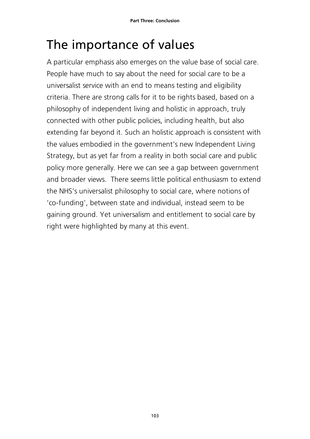## The importance of values

A particular emphasis also emerges on the value base of social care. People have much to say about the need for social care to be a universalist service with an end to means testing and eligibility criteria. There are strong calls for it to be rights based, based on a philosophy of independent living and holistic in approach, truly connected with other public policies, including health, but also extending far beyond it. Such an holistic approach is consistent with the values embodied in the government's new Independent Living Strategy, but as yet far from a reality in both social care and public policy more generally. Here we can see a gap between government and broader views. There seems little political enthusiasm to extend the NHS's universalist philosophy to social care, where notions of 'co-funding', between state and individual, instead seem to be gaining ground. Yet universalism and entitlement to social care by right were highlighted by many at this event.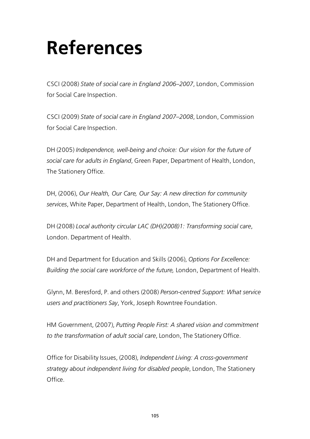## **References**

CSCI (2008) *State of social care in England 2006–2007*, London, Commission for Social Care Inspection.

CSCI (2009) *State of social care in England 2007–2008*, London, Commission for Social Care Inspection.

DH (2005) *Independence, well-being and choice: Our vision for the future of social care for adults in England*, Green Paper, Department of Health, London, The Stationery Office.

DH, (2006), *Our Health, Our Care, Our Say: A new direction for community services*, White Paper, Department of Health, London, The Stationery Office.

DH (2008) *Local authority circular LAC (DH)(2008)1: Transforming social care*, London. Department of Health.

DH and Department for Education and Skills (2006), *Options For Excellence: Building the social care workforce of the future,* London, Department of Health.

Glynn, M. Beresford, P. and others (2008) *Person-centred Support: What service users and practitioners Say*, York, Joseph Rowntree Foundation.

HM Government, (2007), *Putting People First: A shared vision and commitment to the transformation of adult social care*, London, The Stationery Office.

Office for Disability Issues, (2008), *Independent Living: A cross-government strategy about independent living for disabled people*, London, The Stationery Office.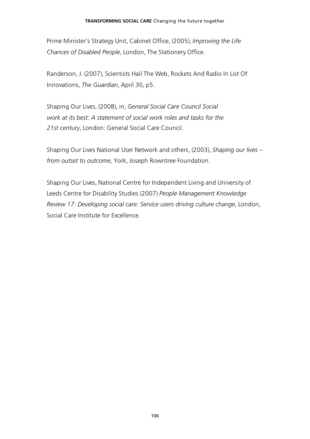Prime Minister's Strategy Unit, Cabinet Office, (2005), *Improving the Life Chances of Disabled People*, London, The Stationery Office.

Randerson, J. (2007), Scientists Hail The Web, Rockets And Radio In List Of Innovations, *The Guardian*, April 30, p5.

Shaping Our Lives, (2008), in, *General Social Care Council Social work at its best: A statement of social work roles and tasks for the 21st century*, London: General Social Care Council.

Shaping Our Lives National User Network and others, (2003), *Shaping our lives – from outset to outcome*, York, Joseph Rowntree Foundation.

Shaping Our Lives, National Centre for Independent Living and University of Leeds Centre for Disability Studies (2007) *People Management Knowledge Review 17: Developing social care: Service users driving culture change*, London, Social Care Institute for Excellence.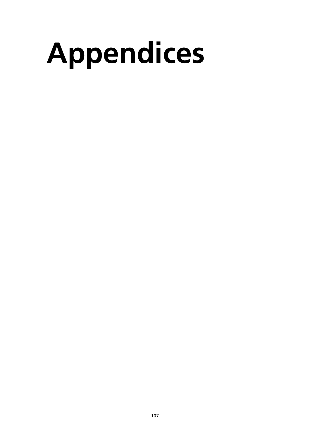# **Appendices**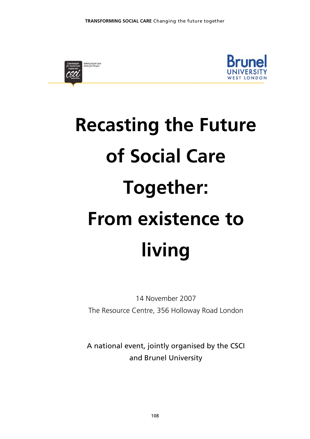



# **Recasting the Future of Social Care Together: From existence to living**

14 November 2007 The Resource Centre, 356 Holloway Road London

A national event, jointly organised by the CSCI and Brunel University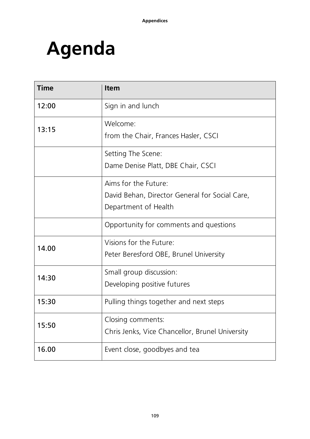## **Agenda**

| <b>Time</b> | <b>Item</b>                                                                                    |
|-------------|------------------------------------------------------------------------------------------------|
| 12:00       | Sign in and lunch                                                                              |
| 13:15       | Welcome:<br>from the Chair, Frances Hasler, CSCI                                               |
|             | Setting The Scene:<br>Dame Denise Platt, DBE Chair, CSCI                                       |
|             | Aims for the Future:<br>David Behan, Director General for Social Care,<br>Department of Health |
|             | Opportunity for comments and questions                                                         |
| 14.00       | Visions for the Future:<br>Peter Beresford OBE, Brunel University                              |
| 14:30       | Small group discussion:<br>Developing positive futures                                         |
| 15:30       | Pulling things together and next steps                                                         |
| 15:50       | Closing comments:<br>Chris Jenks, Vice Chancellor, Brunel University                           |
| 16.00       | Event close, goodbyes and tea                                                                  |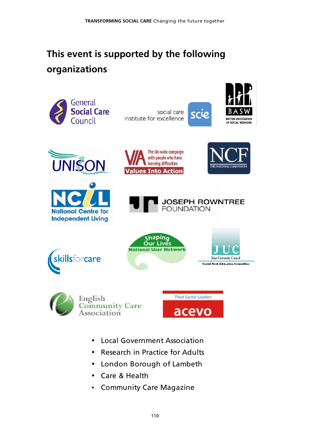## **This event is supported by the following organizations**



social care institute for excellence















**Third Sector Leaders** 

acevo











- Research in Practice for Adults
- London Borough of Lambeth
- Care & Health
- Community Care Magazine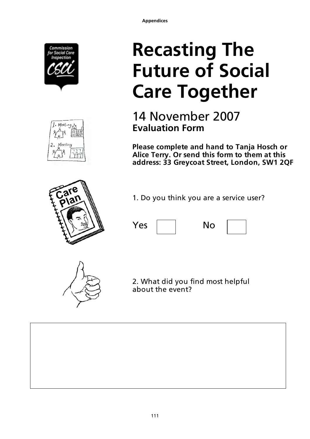





## **Recasting The Future of Social Care Together**

14 November 2007 **Evaluation Form**

**Please complete and hand to Tanja Hosch or Alice Terry. Or send this form to them at this address: 33 Greycoat Street, London, SW1 2QF**

1. Do you think you are a service user?







2. What did you find most helpful about the event?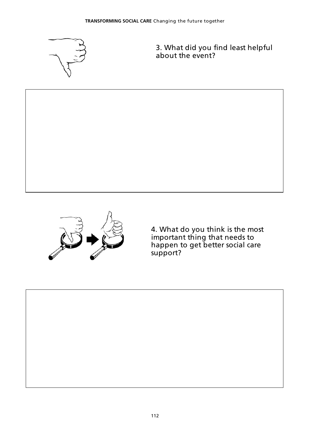

3. What did you find least helpful about the event?



4. What do you think is the most important thing that needs to happen to get better social care support?